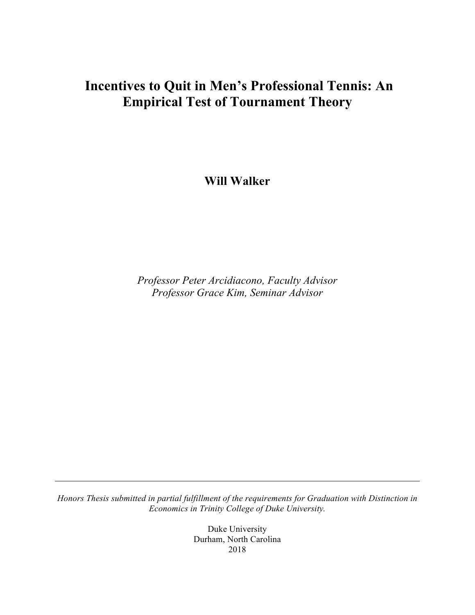# **Incentives to Quit in Men's Professional Tennis: An Empirical Test of Tournament Theory**

**Will Walker**

*Professor Peter Arcidiacono, Faculty Advisor Professor Grace Kim, Seminar Advisor*

*Honors Thesis submitted in partial fulfillment of the requirements for Graduation with Distinction in Economics in Trinity College of Duke University.*

> Duke University Durham, North Carolina 2018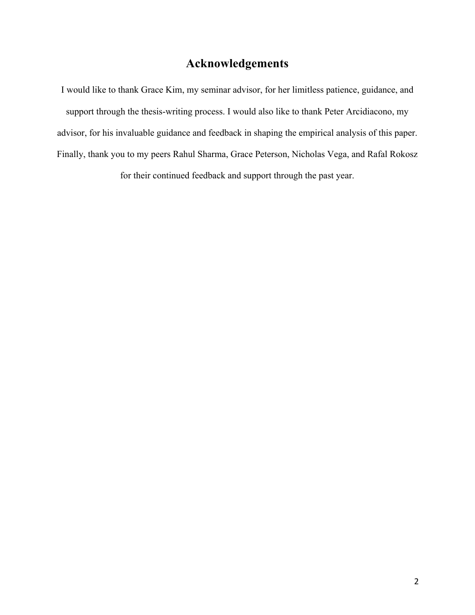# **Acknowledgements**

I would like to thank Grace Kim, my seminar advisor, for her limitless patience, guidance, and support through the thesis-writing process. I would also like to thank Peter Arcidiacono, my advisor, for his invaluable guidance and feedback in shaping the empirical analysis of this paper. Finally, thank you to my peers Rahul Sharma, Grace Peterson, Nicholas Vega, and Rafal Rokosz for their continued feedback and support through the past year.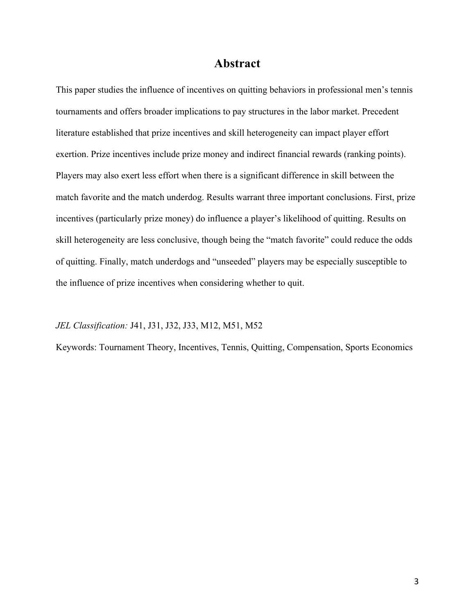## **Abstract**

This paper studies the influence of incentives on quitting behaviors in professional men's tennis tournaments and offers broader implications to pay structures in the labor market. Precedent literature established that prize incentives and skill heterogeneity can impact player effort exertion. Prize incentives include prize money and indirect financial rewards (ranking points). Players may also exert less effort when there is a significant difference in skill between the match favorite and the match underdog. Results warrant three important conclusions. First, prize incentives (particularly prize money) do influence a player's likelihood of quitting. Results on skill heterogeneity are less conclusive, though being the "match favorite" could reduce the odds of quitting. Finally, match underdogs and "unseeded" players may be especially susceptible to the influence of prize incentives when considering whether to quit.

#### *JEL Classification:* J41, J31, J32, J33, M12, M51, M52

Keywords: Tournament Theory, Incentives, Tennis, Quitting, Compensation, Sports Economics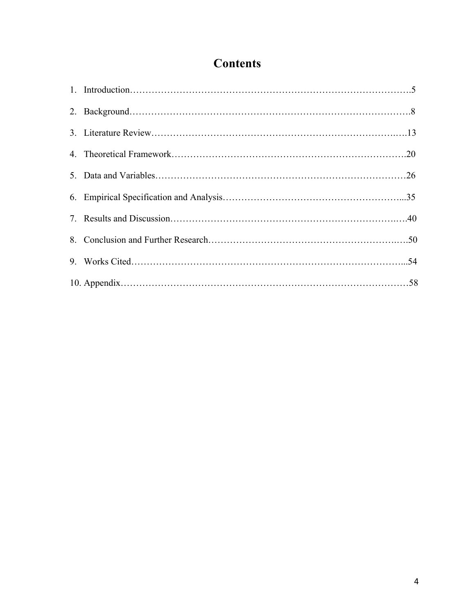# **Contents**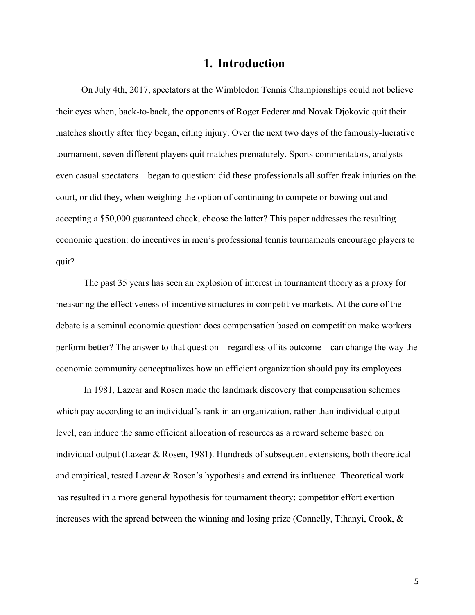### **1. Introduction**

 On July 4th, 2017, spectators at the Wimbledon Tennis Championships could not believe their eyes when, back-to-back, the opponents of Roger Federer and Novak Djokovic quit their matches shortly after they began, citing injury. Over the next two days of the famously-lucrative tournament, seven different players quit matches prematurely. Sports commentators, analysts – even casual spectators – began to question: did these professionals all suffer freak injuries on the court, or did they, when weighing the option of continuing to compete or bowing out and accepting a \$50,000 guaranteed check, choose the latter? This paper addresses the resulting economic question: do incentives in men's professional tennis tournaments encourage players to quit?

The past 35 years has seen an explosion of interest in tournament theory as a proxy for measuring the effectiveness of incentive structures in competitive markets. At the core of the debate is a seminal economic question: does compensation based on competition make workers perform better? The answer to that question – regardless of its outcome – can change the way the economic community conceptualizes how an efficient organization should pay its employees.

In 1981, Lazear and Rosen made the landmark discovery that compensation schemes which pay according to an individual's rank in an organization, rather than individual output level, can induce the same efficient allocation of resources as a reward scheme based on individual output (Lazear & Rosen, 1981). Hundreds of subsequent extensions, both theoretical and empirical, tested Lazear & Rosen's hypothesis and extend its influence. Theoretical work has resulted in a more general hypothesis for tournament theory: competitor effort exertion increases with the spread between the winning and losing prize (Connelly, Tihanyi, Crook,  $\&$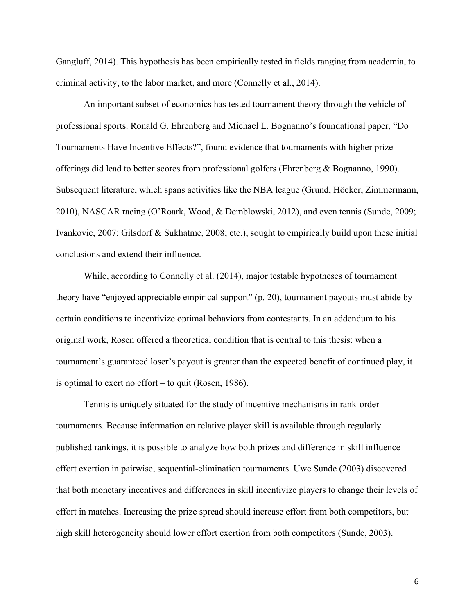Gangluff, 2014). This hypothesis has been empirically tested in fields ranging from academia, to criminal activity, to the labor market, and more (Connelly et al., 2014).

An important subset of economics has tested tournament theory through the vehicle of professional sports. Ronald G. Ehrenberg and Michael L. Bognanno's foundational paper, "Do Tournaments Have Incentive Effects?", found evidence that tournaments with higher prize offerings did lead to better scores from professional golfers (Ehrenberg & Bognanno, 1990). Subsequent literature, which spans activities like the NBA league (Grund, Höcker, Zimmermann, 2010), NASCAR racing (O'Roark, Wood, & Demblowski, 2012), and even tennis (Sunde, 2009; Ivankovic, 2007; Gilsdorf & Sukhatme, 2008; etc.), sought to empirically build upon these initial conclusions and extend their influence.

While, according to Connelly et al. (2014), major testable hypotheses of tournament theory have "enjoyed appreciable empirical support" (p. 20), tournament payouts must abide by certain conditions to incentivize optimal behaviors from contestants. In an addendum to his original work, Rosen offered a theoretical condition that is central to this thesis: when a tournament's guaranteed loser's payout is greater than the expected benefit of continued play, it is optimal to exert no effort – to quit (Rosen, 1986).

Tennis is uniquely situated for the study of incentive mechanisms in rank-order tournaments. Because information on relative player skill is available through regularly published rankings, it is possible to analyze how both prizes and difference in skill influence effort exertion in pairwise, sequential-elimination tournaments. Uwe Sunde (2003) discovered that both monetary incentives and differences in skill incentivize players to change their levels of effort in matches. Increasing the prize spread should increase effort from both competitors, but high skill heterogeneity should lower effort exertion from both competitors (Sunde, 2003).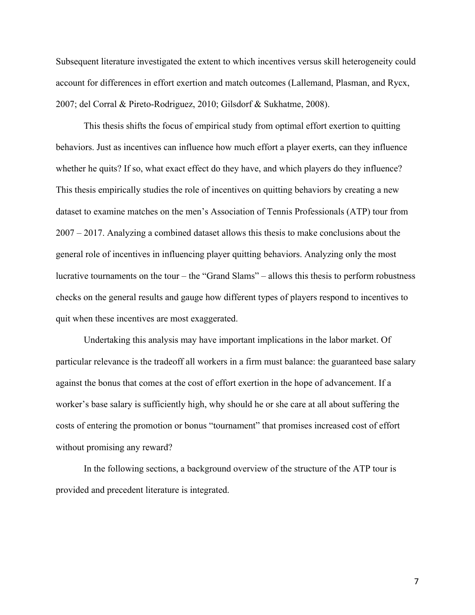Subsequent literature investigated the extent to which incentives versus skill heterogeneity could account for differences in effort exertion and match outcomes (Lallemand, Plasman, and Rycx, 2007; del Corral & Pireto-Rodriguez, 2010; Gilsdorf & Sukhatme, 2008).

This thesis shifts the focus of empirical study from optimal effort exertion to quitting behaviors. Just as incentives can influence how much effort a player exerts, can they influence whether he quits? If so, what exact effect do they have, and which players do they influence? This thesis empirically studies the role of incentives on quitting behaviors by creating a new dataset to examine matches on the men's Association of Tennis Professionals (ATP) tour from 2007 – 2017. Analyzing a combined dataset allows this thesis to make conclusions about the general role of incentives in influencing player quitting behaviors. Analyzing only the most lucrative tournaments on the tour – the "Grand Slams" – allows this thesis to perform robustness checks on the general results and gauge how different types of players respond to incentives to quit when these incentives are most exaggerated.

Undertaking this analysis may have important implications in the labor market. Of particular relevance is the tradeoff all workers in a firm must balance: the guaranteed base salary against the bonus that comes at the cost of effort exertion in the hope of advancement. If a worker's base salary is sufficiently high, why should he or she care at all about suffering the costs of entering the promotion or bonus "tournament" that promises increased cost of effort without promising any reward?

In the following sections, a background overview of the structure of the ATP tour is provided and precedent literature is integrated.

7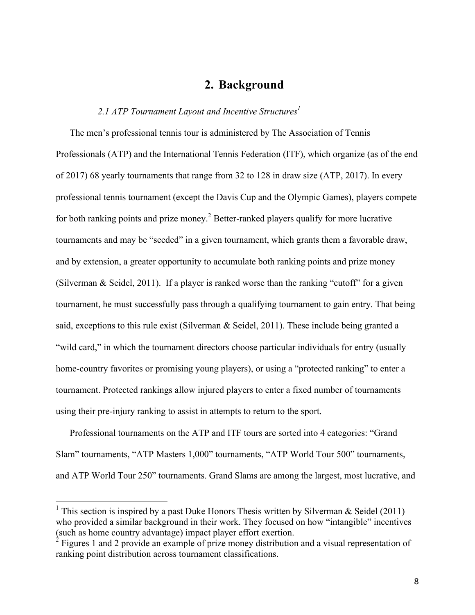### **2. Background**

#### 2.1 ATP Tournament Layout and Incentive Structures<sup>1</sup>

The men's professional tennis tour is administered by The Association of Tennis Professionals (ATP) and the International Tennis Federation (ITF), which organize (as of the end of 2017) 68 yearly tournaments that range from 32 to 128 in draw size (ATP, 2017). In every professional tennis tournament (except the Davis Cup and the Olympic Games), players compete for both ranking points and prize money.<sup>2</sup> Better-ranked players qualify for more lucrative tournaments and may be "seeded" in a given tournament, which grants them a favorable draw, and by extension, a greater opportunity to accumulate both ranking points and prize money (Silverman & Seidel, 2011). If a player is ranked worse than the ranking "cutoff" for a given tournament, he must successfully pass through a qualifying tournament to gain entry. That being said, exceptions to this rule exist (Silverman & Seidel, 2011). These include being granted a "wild card," in which the tournament directors choose particular individuals for entry (usually home-country favorites or promising young players), or using a "protected ranking" to enter a tournament. Protected rankings allow injured players to enter a fixed number of tournaments using their pre-injury ranking to assist in attempts to return to the sport.

Professional tournaments on the ATP and ITF tours are sorted into 4 categories: "Grand Slam" tournaments, "ATP Masters 1,000" tournaments, "ATP World Tour 500" tournaments, and ATP World Tour 250" tournaments. Grand Slams are among the largest, most lucrative, and

<sup>&</sup>lt;sup>1</sup> This section is inspired by a past Duke Honors Thesis written by Silverman & Seidel (2011) who provided a similar background in their work. They focused on how "intangible" incentives (such as home country advantage) impact player effort exertion.

 $2^2$  Figures 1 and 2 provide an example of prize money distribution and a visual representation of ranking point distribution across tournament classifications.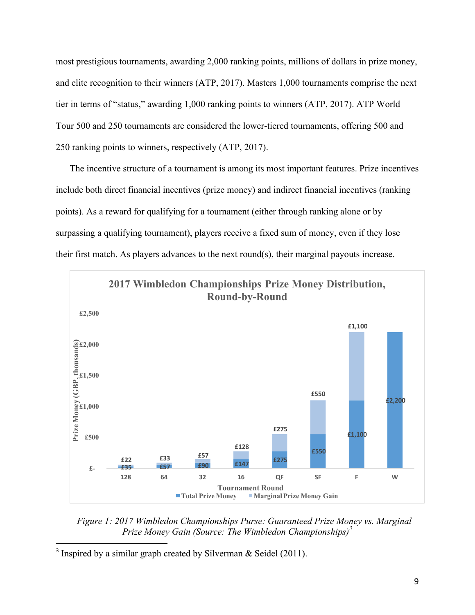most prestigious tournaments, awarding 2,000 ranking points, millions of dollars in prize money, and elite recognition to their winners (ATP, 2017). Masters 1,000 tournaments comprise the next tier in terms of "status," awarding 1,000 ranking points to winners (ATP, 2017). ATP World Tour 500 and 250 tournaments are considered the lower-tiered tournaments, offering 500 and 250 ranking points to winners, respectively (ATP, 2017).

The incentive structure of a tournament is among its most important features. Prize incentives include both direct financial incentives (prize money) and indirect financial incentives (ranking points). As a reward for qualifying for a tournament (either through ranking alone or by surpassing a qualifying tournament), players receive a fixed sum of money, even if they lose their first match. As players advances to the next round(s), their marginal payouts increase.



*Figure 1: 2017 Wimbledon Championships Purse: Guaranteed Prize Money vs. Marginal Prize Money Gain (Source: The Wimbledon Championships)3*

 $\overline{a}$ 

<sup>&</sup>lt;sup>3</sup> Inspired by a similar graph created by Silverman & Seidel (2011).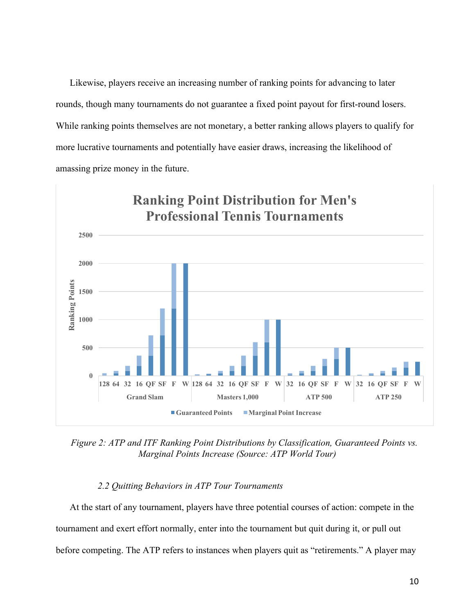Likewise, players receive an increasing number of ranking points for advancing to later rounds, though many tournaments do not guarantee a fixed point payout for first-round losers. While ranking points themselves are not monetary, a better ranking allows players to qualify for more lucrative tournaments and potentially have easier draws, increasing the likelihood of amassing prize money in the future.



*Figure 2: ATP and ITF Ranking Point Distributions by Classification, Guaranteed Points vs. Marginal Points Increase (Source: ATP World Tour)*

#### *2.2 Quitting Behaviors in ATP Tour Tournaments*

At the start of any tournament, players have three potential courses of action: compete in the tournament and exert effort normally, enter into the tournament but quit during it, or pull out before competing. The ATP refers to instances when players quit as "retirements." A player may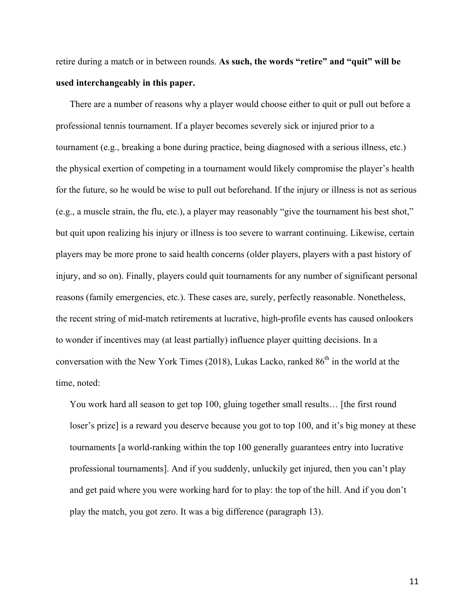retire during a match or in between rounds. **As such, the words "retire" and "quit" will be used interchangeably in this paper.**

There are a number of reasons why a player would choose either to quit or pull out before a professional tennis tournament. If a player becomes severely sick or injured prior to a tournament (e.g., breaking a bone during practice, being diagnosed with a serious illness, etc.) the physical exertion of competing in a tournament would likely compromise the player's health for the future, so he would be wise to pull out beforehand. If the injury or illness is not as serious (e.g., a muscle strain, the flu, etc.), a player may reasonably "give the tournament his best shot," but quit upon realizing his injury or illness is too severe to warrant continuing. Likewise, certain players may be more prone to said health concerns (older players, players with a past history of injury, and so on). Finally, players could quit tournaments for any number of significant personal reasons (family emergencies, etc.). These cases are, surely, perfectly reasonable. Nonetheless, the recent string of mid-match retirements at lucrative, high-profile events has caused onlookers to wonder if incentives may (at least partially) influence player quitting decisions. In a conversation with the New York Times (2018), Lukas Lacko, ranked  $86<sup>th</sup>$  in the world at the time, noted:

You work hard all season to get top 100, gluing together small results… [the first round loser's prize] is a reward you deserve because you got to top 100, and it's big money at these tournaments [a world-ranking within the top 100 generally guarantees entry into lucrative professional tournaments]. And if you suddenly, unluckily get injured, then you can't play and get paid where you were working hard for to play: the top of the hill. And if you don't play the match, you got zero. It was a big difference (paragraph 13).

11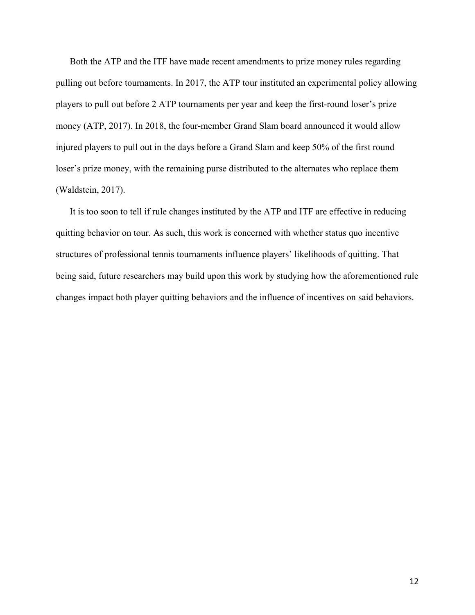Both the ATP and the ITF have made recent amendments to prize money rules regarding pulling out before tournaments. In 2017, the ATP tour instituted an experimental policy allowing players to pull out before 2 ATP tournaments per year and keep the first-round loser's prize money (ATP, 2017). In 2018, the four-member Grand Slam board announced it would allow injured players to pull out in the days before a Grand Slam and keep 50% of the first round loser's prize money, with the remaining purse distributed to the alternates who replace them (Waldstein, 2017).

It is too soon to tell if rule changes instituted by the ATP and ITF are effective in reducing quitting behavior on tour. As such, this work is concerned with whether status quo incentive structures of professional tennis tournaments influence players' likelihoods of quitting. That being said, future researchers may build upon this work by studying how the aforementioned rule changes impact both player quitting behaviors and the influence of incentives on said behaviors.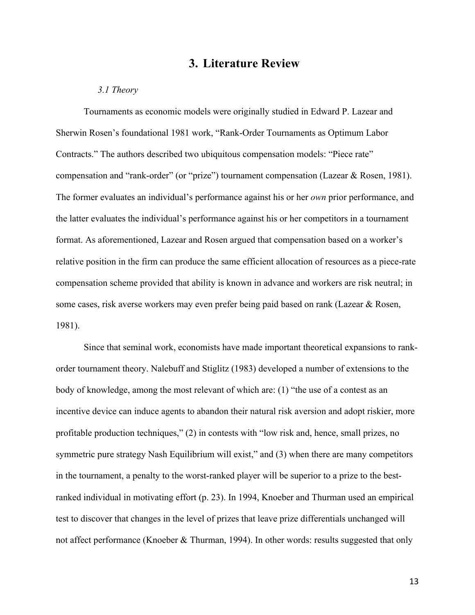## **3. Literature Review**

#### *3.1 Theory*

Tournaments as economic models were originally studied in Edward P. Lazear and Sherwin Rosen's foundational 1981 work, "Rank-Order Tournaments as Optimum Labor Contracts." The authors described two ubiquitous compensation models: "Piece rate" compensation and "rank-order" (or "prize") tournament compensation (Lazear & Rosen, 1981). The former evaluates an individual's performance against his or her *own* prior performance, and the latter evaluates the individual's performance against his or her competitors in a tournament format. As aforementioned, Lazear and Rosen argued that compensation based on a worker's relative position in the firm can produce the same efficient allocation of resources as a piece-rate compensation scheme provided that ability is known in advance and workers are risk neutral; in some cases, risk averse workers may even prefer being paid based on rank (Lazear & Rosen, 1981).

Since that seminal work, economists have made important theoretical expansions to rankorder tournament theory. Nalebuff and Stiglitz (1983) developed a number of extensions to the body of knowledge, among the most relevant of which are: (1) "the use of a contest as an incentive device can induce agents to abandon their natural risk aversion and adopt riskier, more profitable production techniques," (2) in contests with "low risk and, hence, small prizes, no symmetric pure strategy Nash Equilibrium will exist," and (3) when there are many competitors in the tournament, a penalty to the worst-ranked player will be superior to a prize to the bestranked individual in motivating effort (p. 23). In 1994, Knoeber and Thurman used an empirical test to discover that changes in the level of prizes that leave prize differentials unchanged will not affect performance (Knoeber & Thurman, 1994). In other words: results suggested that only

13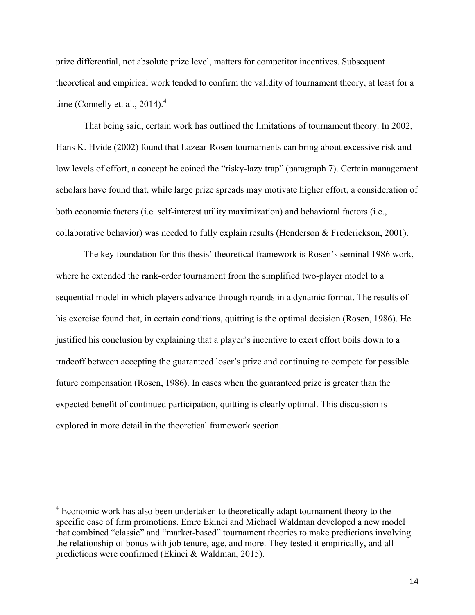prize differential, not absolute prize level, matters for competitor incentives. Subsequent theoretical and empirical work tended to confirm the validity of tournament theory, at least for a time (Connelly et. al.,  $2014$ ).<sup>4</sup>

That being said, certain work has outlined the limitations of tournament theory. In 2002, Hans K. Hvide (2002) found that Lazear-Rosen tournaments can bring about excessive risk and low levels of effort, a concept he coined the "risky-lazy trap" (paragraph 7). Certain management scholars have found that, while large prize spreads may motivate higher effort, a consideration of both economic factors (i.e. self-interest utility maximization) and behavioral factors (i.e., collaborative behavior) was needed to fully explain results (Henderson & Frederickson, 2001).

The key foundation for this thesis' theoretical framework is Rosen's seminal 1986 work, where he extended the rank-order tournament from the simplified two-player model to a sequential model in which players advance through rounds in a dynamic format. The results of his exercise found that, in certain conditions, quitting is the optimal decision (Rosen, 1986). He justified his conclusion by explaining that a player's incentive to exert effort boils down to a tradeoff between accepting the guaranteed loser's prize and continuing to compete for possible future compensation (Rosen, 1986). In cases when the guaranteed prize is greater than the expected benefit of continued participation, quitting is clearly optimal. This discussion is explored in more detail in the theoretical framework section.

<sup>&</sup>lt;sup>4</sup> Economic work has also been undertaken to theoretically adapt tournament theory to the specific case of firm promotions. Emre Ekinci and Michael Waldman developed a new model that combined "classic" and "market-based" tournament theories to make predictions involving the relationship of bonus with job tenure, age, and more. They tested it empirically, and all predictions were confirmed (Ekinci & Waldman, 2015).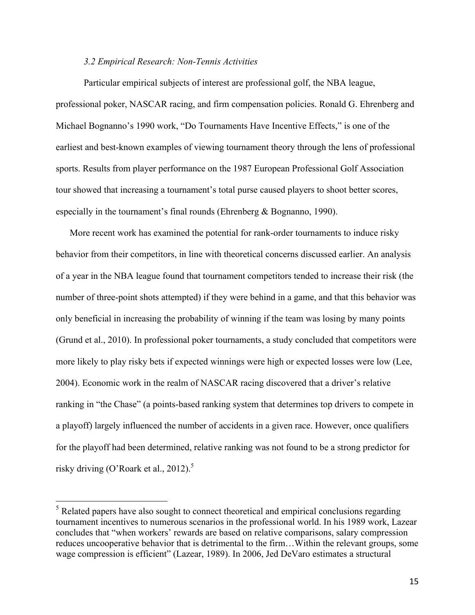#### *3.2 Empirical Research: Non-Tennis Activities*

Particular empirical subjects of interest are professional golf, the NBA league, professional poker, NASCAR racing, and firm compensation policies. Ronald G. Ehrenberg and Michael Bognanno's 1990 work, "Do Tournaments Have Incentive Effects," is one of the earliest and best-known examples of viewing tournament theory through the lens of professional sports. Results from player performance on the 1987 European Professional Golf Association tour showed that increasing a tournament's total purse caused players to shoot better scores, especially in the tournament's final rounds (Ehrenberg & Bognanno, 1990).

More recent work has examined the potential for rank-order tournaments to induce risky behavior from their competitors, in line with theoretical concerns discussed earlier. An analysis of a year in the NBA league found that tournament competitors tended to increase their risk (the number of three-point shots attempted) if they were behind in a game, and that this behavior was only beneficial in increasing the probability of winning if the team was losing by many points (Grund et al., 2010). In professional poker tournaments, a study concluded that competitors were more likely to play risky bets if expected winnings were high or expected losses were low (Lee, 2004). Economic work in the realm of NASCAR racing discovered that a driver's relative ranking in "the Chase" (a points-based ranking system that determines top drivers to compete in a playoff) largely influenced the number of accidents in a given race. However, once qualifiers for the playoff had been determined, relative ranking was not found to be a strong predictor for risky driving (O'Roark et al., 2012).<sup>5</sup>

 $<sup>5</sup>$  Related papers have also sought to connect theoretical and empirical conclusions regarding</sup> tournament incentives to numerous scenarios in the professional world. In his 1989 work, Lazear concludes that "when workers' rewards are based on relative comparisons, salary compression reduces uncooperative behavior that is detrimental to the firm…Within the relevant groups, some wage compression is efficient" (Lazear, 1989). In 2006, Jed DeVaro estimates a structural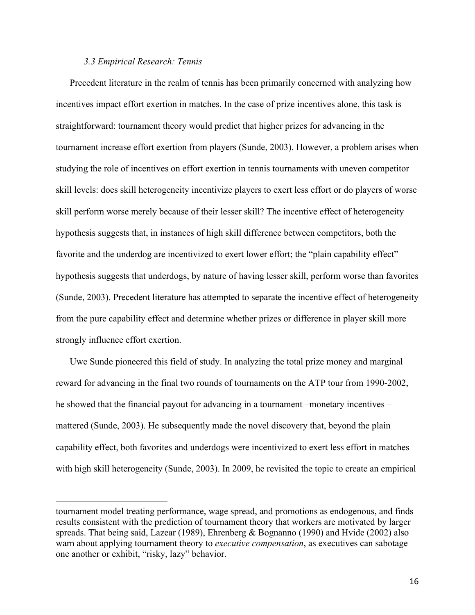#### *3.3 Empirical Research: Tennis*

 $\overline{a}$ 

Precedent literature in the realm of tennis has been primarily concerned with analyzing how incentives impact effort exertion in matches. In the case of prize incentives alone, this task is straightforward: tournament theory would predict that higher prizes for advancing in the tournament increase effort exertion from players (Sunde, 2003). However, a problem arises when studying the role of incentives on effort exertion in tennis tournaments with uneven competitor skill levels: does skill heterogeneity incentivize players to exert less effort or do players of worse skill perform worse merely because of their lesser skill? The incentive effect of heterogeneity hypothesis suggests that, in instances of high skill difference between competitors, both the favorite and the underdog are incentivized to exert lower effort; the "plain capability effect" hypothesis suggests that underdogs, by nature of having lesser skill, perform worse than favorites (Sunde, 2003). Precedent literature has attempted to separate the incentive effect of heterogeneity from the pure capability effect and determine whether prizes or difference in player skill more strongly influence effort exertion.

Uwe Sunde pioneered this field of study. In analyzing the total prize money and marginal reward for advancing in the final two rounds of tournaments on the ATP tour from 1990-2002, he showed that the financial payout for advancing in a tournament –monetary incentives – mattered (Sunde, 2003). He subsequently made the novel discovery that, beyond the plain capability effect, both favorites and underdogs were incentivized to exert less effort in matches with high skill heterogeneity (Sunde, 2003). In 2009, he revisited the topic to create an empirical

tournament model treating performance, wage spread, and promotions as endogenous, and finds results consistent with the prediction of tournament theory that workers are motivated by larger spreads. That being said, Lazear (1989), Ehrenberg & Bognanno (1990) and Hvide (2002) also warn about applying tournament theory to *executive compensation*, as executives can sabotage one another or exhibit, "risky, lazy" behavior.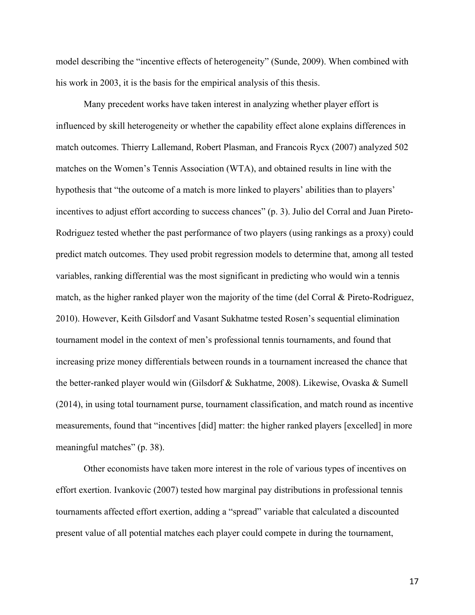model describing the "incentive effects of heterogeneity" (Sunde, 2009). When combined with his work in 2003, it is the basis for the empirical analysis of this thesis.

Many precedent works have taken interest in analyzing whether player effort is influenced by skill heterogeneity or whether the capability effect alone explains differences in match outcomes. Thierry Lallemand, Robert Plasman, and Francois Rycx (2007) analyzed 502 matches on the Women's Tennis Association (WTA), and obtained results in line with the hypothesis that "the outcome of a match is more linked to players' abilities than to players' incentives to adjust effort according to success chances" (p. 3). Julio del Corral and Juan Pireto-Rodriguez tested whether the past performance of two players (using rankings as a proxy) could predict match outcomes. They used probit regression models to determine that, among all tested variables, ranking differential was the most significant in predicting who would win a tennis match, as the higher ranked player won the majority of the time (del Corral  $\&$  Pireto-Rodriguez, 2010). However, Keith Gilsdorf and Vasant Sukhatme tested Rosen's sequential elimination tournament model in the context of men's professional tennis tournaments, and found that increasing prize money differentials between rounds in a tournament increased the chance that the better-ranked player would win (Gilsdorf & Sukhatme, 2008). Likewise, Ovaska & Sumell (2014), in using total tournament purse, tournament classification, and match round as incentive measurements, found that "incentives [did] matter: the higher ranked players [excelled] in more meaningful matches" (p. 38).

Other economists have taken more interest in the role of various types of incentives on effort exertion. Ivankovic (2007) tested how marginal pay distributions in professional tennis tournaments affected effort exertion, adding a "spread" variable that calculated a discounted present value of all potential matches each player could compete in during the tournament,

17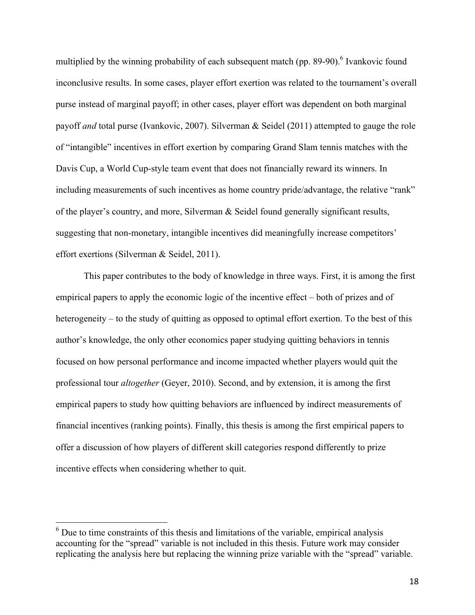multiplied by the winning probability of each subsequent match (pp. 89-90).<sup>6</sup> Ivankovic found inconclusive results. In some cases, player effort exertion was related to the tournament's overall purse instead of marginal payoff; in other cases, player effort was dependent on both marginal payoff *and* total purse (Ivankovic, 2007). Silverman & Seidel (2011) attempted to gauge the role of "intangible" incentives in effort exertion by comparing Grand Slam tennis matches with the Davis Cup, a World Cup-style team event that does not financially reward its winners. In including measurements of such incentives as home country pride/advantage, the relative "rank" of the player's country, and more, Silverman & Seidel found generally significant results, suggesting that non-monetary, intangible incentives did meaningfully increase competitors' effort exertions (Silverman & Seidel, 2011).

This paper contributes to the body of knowledge in three ways. First, it is among the first empirical papers to apply the economic logic of the incentive effect – both of prizes and of heterogeneity – to the study of quitting as opposed to optimal effort exertion. To the best of this author's knowledge, the only other economics paper studying quitting behaviors in tennis focused on how personal performance and income impacted whether players would quit the professional tour *altogether* (Geyer, 2010). Second, and by extension, it is among the first empirical papers to study how quitting behaviors are influenced by indirect measurements of financial incentives (ranking points). Finally, this thesis is among the first empirical papers to offer a discussion of how players of different skill categories respond differently to prize incentive effects when considering whether to quit.

 $6$  Due to time constraints of this thesis and limitations of the variable, empirical analysis accounting for the "spread" variable is not included in this thesis. Future work may consider replicating the analysis here but replacing the winning prize variable with the "spread" variable.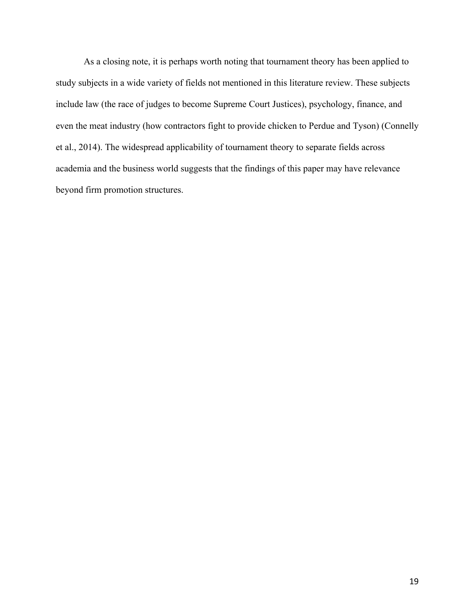As a closing note, it is perhaps worth noting that tournament theory has been applied to study subjects in a wide variety of fields not mentioned in this literature review. These subjects include law (the race of judges to become Supreme Court Justices), psychology, finance, and even the meat industry (how contractors fight to provide chicken to Perdue and Tyson) (Connelly et al., 2014). The widespread applicability of tournament theory to separate fields across academia and the business world suggests that the findings of this paper may have relevance beyond firm promotion structures.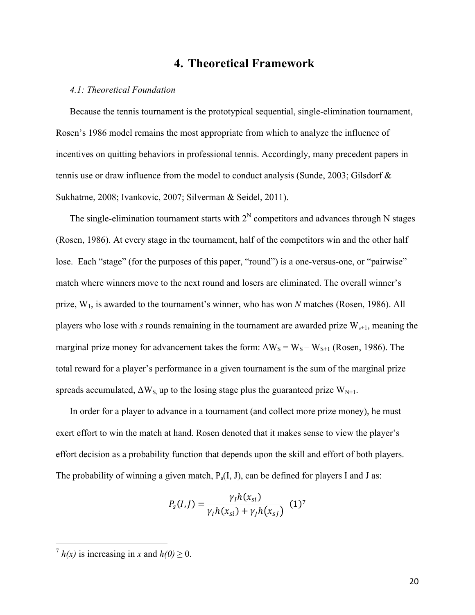## **4. Theoretical Framework**

#### *4.1: Theoretical Foundation*

Because the tennis tournament is the prototypical sequential, single-elimination tournament, Rosen's 1986 model remains the most appropriate from which to analyze the influence of incentives on quitting behaviors in professional tennis. Accordingly, many precedent papers in tennis use or draw influence from the model to conduct analysis (Sunde, 2003; Gilsdorf & Sukhatme, 2008; Ivankovic, 2007; Silverman & Seidel, 2011).

The single-elimination tournament starts with  $2<sup>N</sup>$  competitors and advances through N stages (Rosen, 1986). At every stage in the tournament, half of the competitors win and the other half lose. Each "stage" (for the purposes of this paper, "round") is a one-versus-one, or "pairwise" match where winners move to the next round and losers are eliminated. The overall winner's prize, W1, is awarded to the tournament's winner, who has won *N* matches (Rosen, 1986). All players who lose with  $s$  rounds remaining in the tournament are awarded prize  $W_{s+1}$ , meaning the marginal prize money for advancement takes the form:  $\Delta W_S = W_S - W_{S+1}$  (Rosen, 1986). The total reward for a player's performance in a given tournament is the sum of the marginal prize spreads accumulated,  $\Delta W_S$  up to the losing stage plus the guaranteed prize  $W_{N+1}$ .

In order for a player to advance in a tournament (and collect more prize money), he must exert effort to win the match at hand. Rosen denoted that it makes sense to view the player's effort decision as a probability function that depends upon the skill and effort of both players. The probability of winning a given match,  $P_s(I, J)$ , can be defined for players I and J as:

$$
P_s(I,J) = \frac{\gamma_I h(x_{si})}{\gamma_I h(x_{si}) + \gamma_J h(x_{sj})} (1)^7
$$

 $\binom{7}{1}h(x)$  is increasing in *x* and  $h(0) > 0$ .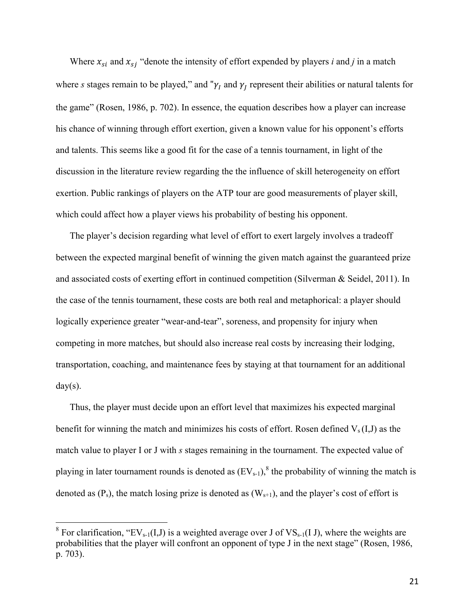Where  $x_{si}$  and  $x_{si}$  "denote the intensity of effort expended by players *i* and *j* in a match where *s* stages remain to be played," and " $\gamma_I$  and  $\gamma_I$  represent their abilities or natural talents for the game" (Rosen, 1986, p. 702). In essence, the equation describes how a player can increase his chance of winning through effort exertion, given a known value for his opponent's efforts and talents. This seems like a good fit for the case of a tennis tournament, in light of the discussion in the literature review regarding the the influence of skill heterogeneity on effort exertion. Public rankings of players on the ATP tour are good measurements of player skill, which could affect how a player views his probability of besting his opponent.

The player's decision regarding what level of effort to exert largely involves a tradeoff between the expected marginal benefit of winning the given match against the guaranteed prize and associated costs of exerting effort in continued competition (Silverman & Seidel, 2011). In the case of the tennis tournament, these costs are both real and metaphorical: a player should logically experience greater "wear-and-tear", soreness, and propensity for injury when competing in more matches, but should also increase real costs by increasing their lodging, transportation, coaching, and maintenance fees by staying at that tournament for an additional  $day(s)$ .

Thus, the player must decide upon an effort level that maximizes his expected marginal benefit for winning the match and minimizes his costs of effort. Rosen defined  $V_s(I,J)$  as the match value to player I or J with *s* stages remaining in the tournament. The expected value of playing in later tournament rounds is denoted as  $(EV_{s-1})$ ,  $\delta$  the probability of winning the match is denoted as  $(P_s)$ , the match losing prize is denoted as  $(W_{s+1})$ , and the player's cost of effort is

<sup>&</sup>lt;sup>8</sup> For clarification, "EV<sub>s-1</sub>(I,J) is a weighted average over J of VS<sub>s-1</sub>(I J), where the weights are probabilities that the player will confront an opponent of type J in the next stage" (Rosen, 1986, p. 703).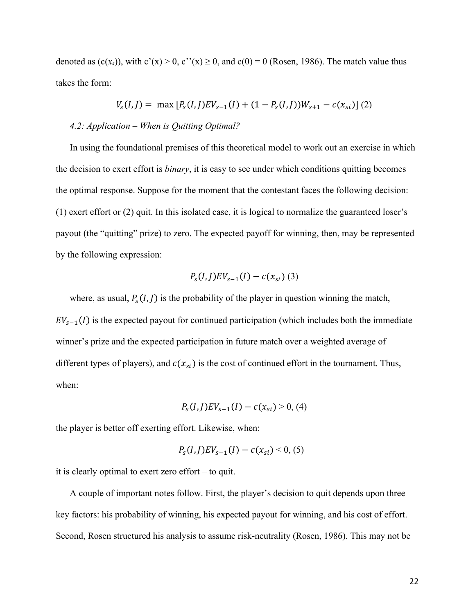denoted as  $(c(x<sub>s</sub>))$ , with  $c'(x) > 0$ ,  $c''(x) \ge 0$ , and  $c(0) = 0$  (Rosen, 1986). The match value thus takes the form:

$$
V_s(I, J) = \max [P_s(I, J)EV_{s-1}(I) + (1 - P_s(I, J))W_{s+1} - c(x_{si})]
$$
 (2)

#### *4.2: Application – When is Quitting Optimal?*

In using the foundational premises of this theoretical model to work out an exercise in which the decision to exert effort is *binary*, it is easy to see under which conditions quitting becomes the optimal response. Suppose for the moment that the contestant faces the following decision: (1) exert effort or (2) quit. In this isolated case, it is logical to normalize the guaranteed loser's payout (the "quitting" prize) to zero. The expected payoff for winning, then, may be represented by the following expression:

$$
P_{s}(I,J)EV_{s-1}(I) - c(x_{si})
$$
 (3)

where, as usual,  $P_s(I, J)$  is the probability of the player in question winning the match,  $EV_{s-1}(I)$  is the expected payout for continued participation (which includes both the immediate winner's prize and the expected participation in future match over a weighted average of different types of players), and  $c(x_{si})$  is the cost of continued effort in the tournament. Thus, when:

$$
P_s(I,J)EV_{s-1}(I) - c(x_{si}) > 0, (4)
$$

the player is better off exerting effort. Likewise, when:

$$
P_{s}(I,J)EV_{s-1}(I)-c(x_{si})<0,(5)
$$

it is clearly optimal to exert zero effort – to quit.

A couple of important notes follow. First, the player's decision to quit depends upon three key factors: his probability of winning, his expected payout for winning, and his cost of effort. Second, Rosen structured his analysis to assume risk-neutrality (Rosen, 1986). This may not be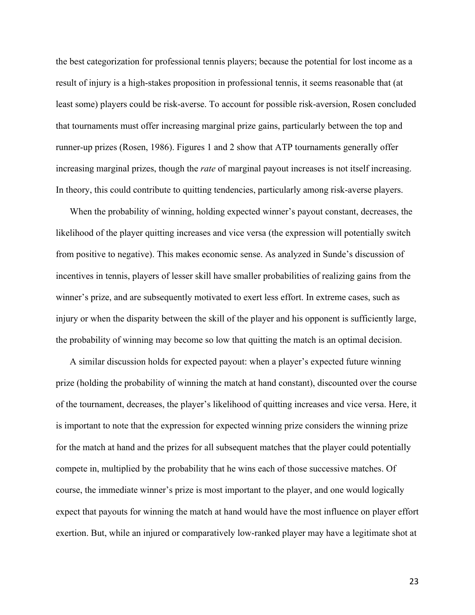the best categorization for professional tennis players; because the potential for lost income as a result of injury is a high-stakes proposition in professional tennis, it seems reasonable that (at least some) players could be risk-averse. To account for possible risk-aversion, Rosen concluded that tournaments must offer increasing marginal prize gains, particularly between the top and runner-up prizes (Rosen, 1986). Figures 1 and 2 show that ATP tournaments generally offer increasing marginal prizes, though the *rate* of marginal payout increases is not itself increasing. In theory, this could contribute to quitting tendencies, particularly among risk-averse players.

When the probability of winning, holding expected winner's payout constant, decreases, the likelihood of the player quitting increases and vice versa (the expression will potentially switch from positive to negative). This makes economic sense. As analyzed in Sunde's discussion of incentives in tennis, players of lesser skill have smaller probabilities of realizing gains from the winner's prize, and are subsequently motivated to exert less effort. In extreme cases, such as injury or when the disparity between the skill of the player and his opponent is sufficiently large, the probability of winning may become so low that quitting the match is an optimal decision.

A similar discussion holds for expected payout: when a player's expected future winning prize (holding the probability of winning the match at hand constant), discounted over the course of the tournament, decreases, the player's likelihood of quitting increases and vice versa. Here, it is important to note that the expression for expected winning prize considers the winning prize for the match at hand and the prizes for all subsequent matches that the player could potentially compete in, multiplied by the probability that he wins each of those successive matches. Of course, the immediate winner's prize is most important to the player, and one would logically expect that payouts for winning the match at hand would have the most influence on player effort exertion. But, while an injured or comparatively low-ranked player may have a legitimate shot at

23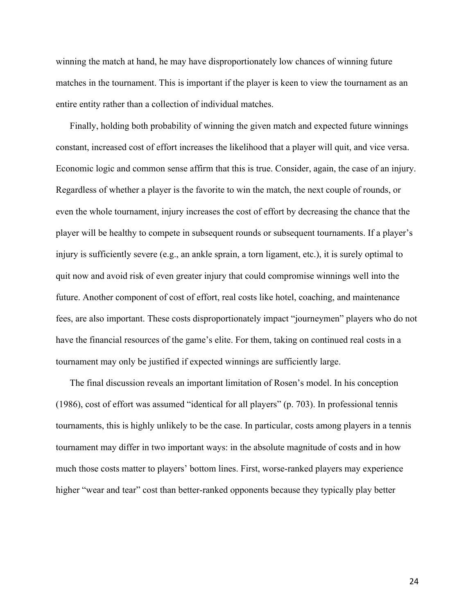winning the match at hand, he may have disproportionately low chances of winning future matches in the tournament. This is important if the player is keen to view the tournament as an entire entity rather than a collection of individual matches.

Finally, holding both probability of winning the given match and expected future winnings constant, increased cost of effort increases the likelihood that a player will quit, and vice versa. Economic logic and common sense affirm that this is true. Consider, again, the case of an injury. Regardless of whether a player is the favorite to win the match, the next couple of rounds, or even the whole tournament, injury increases the cost of effort by decreasing the chance that the player will be healthy to compete in subsequent rounds or subsequent tournaments. If a player's injury is sufficiently severe (e.g., an ankle sprain, a torn ligament, etc.), it is surely optimal to quit now and avoid risk of even greater injury that could compromise winnings well into the future. Another component of cost of effort, real costs like hotel, coaching, and maintenance fees, are also important. These costs disproportionately impact "journeymen" players who do not have the financial resources of the game's elite. For them, taking on continued real costs in a tournament may only be justified if expected winnings are sufficiently large.

The final discussion reveals an important limitation of Rosen's model. In his conception (1986), cost of effort was assumed "identical for all players" (p. 703). In professional tennis tournaments, this is highly unlikely to be the case. In particular, costs among players in a tennis tournament may differ in two important ways: in the absolute magnitude of costs and in how much those costs matter to players' bottom lines. First, worse-ranked players may experience higher "wear and tear" cost than better-ranked opponents because they typically play better

24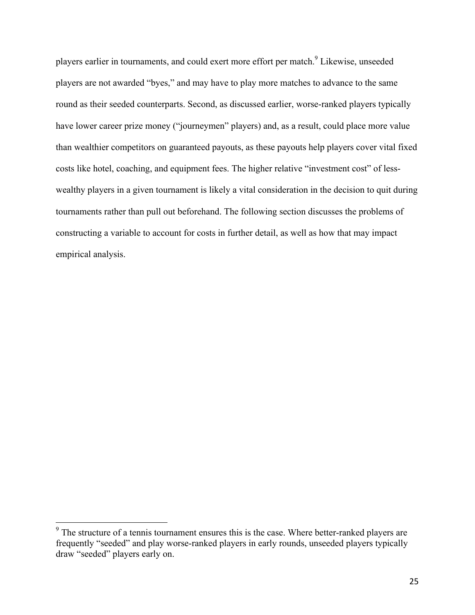players earlier in tournaments, and could exert more effort per match.9 Likewise, unseeded players are not awarded "byes," and may have to play more matches to advance to the same round as their seeded counterparts. Second, as discussed earlier, worse-ranked players typically have lower career prize money ("journeymen" players) and, as a result, could place more value than wealthier competitors on guaranteed payouts, as these payouts help players cover vital fixed costs like hotel, coaching, and equipment fees. The higher relative "investment cost" of lesswealthy players in a given tournament is likely a vital consideration in the decision to quit during tournaments rather than pull out beforehand. The following section discusses the problems of constructing a variable to account for costs in further detail, as well as how that may impact empirical analysis.

<sup>&</sup>lt;sup>9</sup> The structure of a tennis tournament ensures this is the case. Where better-ranked players are frequently "seeded" and play worse-ranked players in early rounds, unseeded players typically draw "seeded" players early on.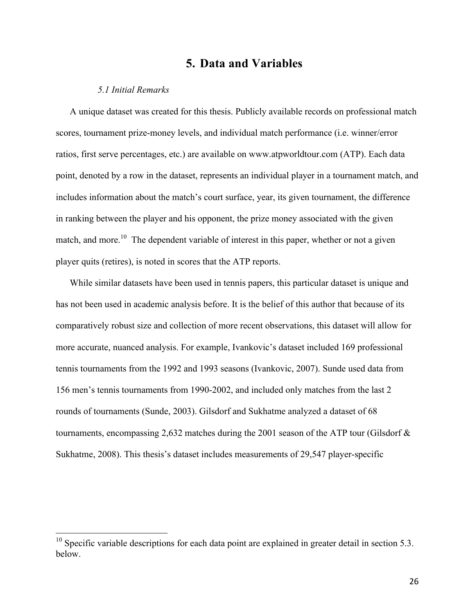## **5. Data and Variables**

#### *5.1 Initial Remarks*

A unique dataset was created for this thesis. Publicly available records on professional match scores, tournament prize-money levels, and individual match performance (i.e. winner/error ratios, first serve percentages, etc.) are available on www.atpworldtour.com (ATP). Each data point, denoted by a row in the dataset, represents an individual player in a tournament match, and includes information about the match's court surface, year, its given tournament, the difference in ranking between the player and his opponent, the prize money associated with the given match, and more.<sup>10</sup> The dependent variable of interest in this paper, whether or not a given player quits (retires), is noted in scores that the ATP reports.

While similar datasets have been used in tennis papers, this particular dataset is unique and has not been used in academic analysis before. It is the belief of this author that because of its comparatively robust size and collection of more recent observations, this dataset will allow for more accurate, nuanced analysis. For example, Ivankovic's dataset included 169 professional tennis tournaments from the 1992 and 1993 seasons (Ivankovic, 2007). Sunde used data from 156 men's tennis tournaments from 1990-2002, and included only matches from the last 2 rounds of tournaments (Sunde, 2003). Gilsdorf and Sukhatme analyzed a dataset of 68 tournaments, encompassing 2,632 matches during the 2001 season of the ATP tour (Gilsdorf & Sukhatme, 2008). This thesis's dataset includes measurements of 29,547 player-specific

 $10$  Specific variable descriptions for each data point are explained in greater detail in section 5.3. below.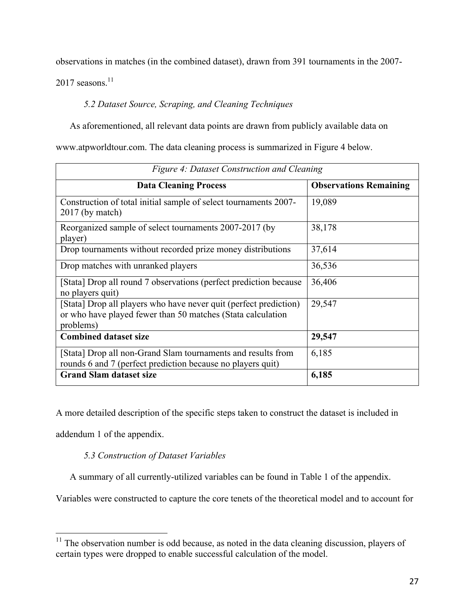observations in matches (in the combined dataset), drawn from 391 tournaments in the 2007-

 $2017$  seasons.<sup>11</sup>

*5.2 Dataset Source, Scraping, and Cleaning Techniques*

As aforementioned, all relevant data points are drawn from publicly available data on

www.atpworldtour.com. The data cleaning process is summarized in Figure 4 below.

| Figure 4: Dataset Construction and Cleaning                                                                                                   |                               |  |  |  |  |
|-----------------------------------------------------------------------------------------------------------------------------------------------|-------------------------------|--|--|--|--|
| <b>Data Cleaning Process</b>                                                                                                                  | <b>Observations Remaining</b> |  |  |  |  |
| Construction of total initial sample of select tournaments 2007-<br>$2017$ (by match)                                                         | 19,089                        |  |  |  |  |
| Reorganized sample of select tournaments 2007-2017 (by<br>player)                                                                             | 38,178                        |  |  |  |  |
| Drop tournaments without recorded prize money distributions                                                                                   | 37,614                        |  |  |  |  |
| Drop matches with unranked players                                                                                                            | 36,536                        |  |  |  |  |
| [Stata] Drop all round 7 observations (perfect prediction because<br>no players quit)                                                         | 36,406                        |  |  |  |  |
| [Stata] Drop all players who have never quit (perfect prediction)<br>or who have played fewer than 50 matches (Stata calculation<br>problems) | 29,547                        |  |  |  |  |
| <b>Combined dataset size</b>                                                                                                                  | 29,547                        |  |  |  |  |
| [Stata] Drop all non-Grand Slam tournaments and results from<br>rounds 6 and 7 (perfect prediction because no players quit)                   | 6,185                         |  |  |  |  |
| <b>Grand Slam dataset size</b>                                                                                                                | 6,185                         |  |  |  |  |

A more detailed description of the specific steps taken to construct the dataset is included in

addendum 1 of the appendix.

### *5.3 Construction of Dataset Variables*

A summary of all currently-utilized variables can be found in Table 1 of the appendix.

Variables were constructed to capture the core tenets of the theoretical model and to account for

 $11$  The observation number is odd because, as noted in the data cleaning discussion, players of certain types were dropped to enable successful calculation of the model.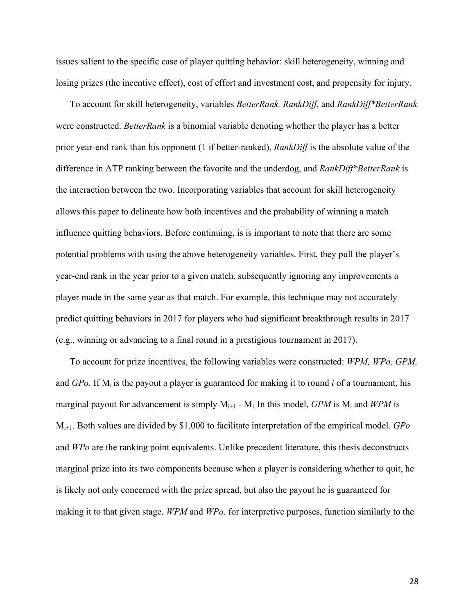issues salient to the specific case of player quitting behavior: skill heterogeneity, winning and losing prizes (the incentive effect), cost of effort and investment cost, and propensity for injury.

To account for skill heterogeneity, variables *BetterRank, RankDiff,* and *RankDiff\*BetterRank* were constructed. *BetterRank* is a binomial variable denoting whether the player has a better prior year-end rank than his opponent (1 if better-ranked), *RankDiff* is the absolute value of the difference in ATP ranking between the favorite and the underdog, and *RankDiff\*BetterRank* is the interaction between the two. Incorporating variables that account for skill heterogeneity allows this paper to delineate how both incentives and the probability of winning a match influence quitting behaviors. Before continuing, is is important to note that there are some potential problems with using the above heterogeneity variables. First, they pull the player's year-end rank in the year prior to a given match, subsequently ignoring any improvements a player made in the same year as that match. For example, this technique may not accurately predict quitting behaviors in 2017 for players who had significant breakthrough results in 2017 (e.g., winning or advancing to a final round in a prestigious tournament in 2017).

To account for prize incentives, the following variables were constructed: *WPM, WPo, GPM,* and *GPo.* If  $M_i$  is the payout a player is guaranteed for making it to round *i* of a tournament, his marginal payout for advancement is simply  $M_{i+1}$  -  $M_i$  In this model, *GPM* is  $M_i$  and *WPM* is Mi+1. Both values are divided by \$1,000 to facilitate interpretation of the empirical model. *GPo*  and *WPo* are the ranking point equivalents. Unlike precedent literature, this thesis deconstructs marginal prize into its two components because when a player is considering whether to quit, he is likely not only concerned with the prize spread, but also the payout he is guaranteed for making it to that given stage. *WPM* and *WPo,* for interpretive purposes, function similarly to the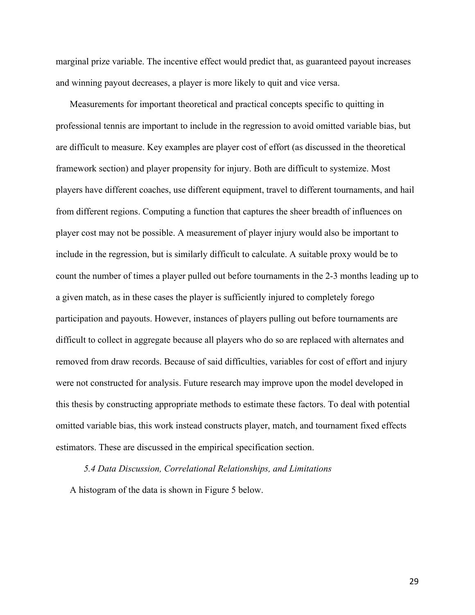marginal prize variable. The incentive effect would predict that, as guaranteed payout increases and winning payout decreases, a player is more likely to quit and vice versa.

Measurements for important theoretical and practical concepts specific to quitting in professional tennis are important to include in the regression to avoid omitted variable bias, but are difficult to measure. Key examples are player cost of effort (as discussed in the theoretical framework section) and player propensity for injury. Both are difficult to systemize. Most players have different coaches, use different equipment, travel to different tournaments, and hail from different regions. Computing a function that captures the sheer breadth of influences on player cost may not be possible. A measurement of player injury would also be important to include in the regression, but is similarly difficult to calculate. A suitable proxy would be to count the number of times a player pulled out before tournaments in the 2-3 months leading up to a given match, as in these cases the player is sufficiently injured to completely forego participation and payouts. However, instances of players pulling out before tournaments are difficult to collect in aggregate because all players who do so are replaced with alternates and removed from draw records. Because of said difficulties, variables for cost of effort and injury were not constructed for analysis. Future research may improve upon the model developed in this thesis by constructing appropriate methods to estimate these factors. To deal with potential omitted variable bias, this work instead constructs player, match, and tournament fixed effects estimators. These are discussed in the empirical specification section.

*5.4 Data Discussion, Correlational Relationships, and Limitations*

A histogram of the data is shown in Figure 5 below.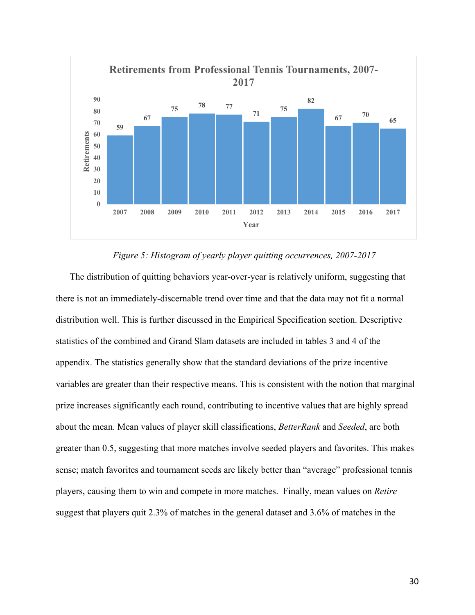

#### *Figure 5: Histogram of yearly player quitting occurrences, 2007-2017*

The distribution of quitting behaviors year-over-year is relatively uniform, suggesting that there is not an immediately-discernable trend over time and that the data may not fit a normal distribution well. This is further discussed in the Empirical Specification section. Descriptive statistics of the combined and Grand Slam datasets are included in tables 3 and 4 of the appendix. The statistics generally show that the standard deviations of the prize incentive variables are greater than their respective means. This is consistent with the notion that marginal prize increases significantly each round, contributing to incentive values that are highly spread about the mean. Mean values of player skill classifications, *BetterRank* and *Seeded*, are both greater than 0.5, suggesting that more matches involve seeded players and favorites. This makes sense; match favorites and tournament seeds are likely better than "average" professional tennis players, causing them to win and compete in more matches. Finally, mean values on *Retire* suggest that players quit 2.3% of matches in the general dataset and 3.6% of matches in the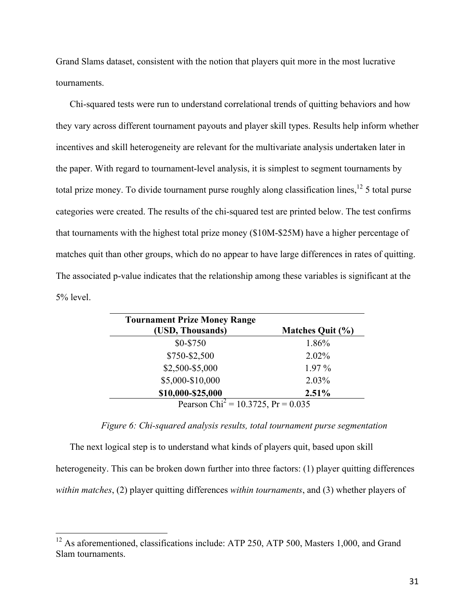Grand Slams dataset, consistent with the notion that players quit more in the most lucrative tournaments.

Chi-squared tests were run to understand correlational trends of quitting behaviors and how they vary across different tournament payouts and player skill types. Results help inform whether incentives and skill heterogeneity are relevant for the multivariate analysis undertaken later in the paper. With regard to tournament-level analysis, it is simplest to segment tournaments by total prize money. To divide tournament purse roughly along classification lines, $12\frac{12}{3}$  total purse categories were created. The results of the chi-squared test are printed below. The test confirms that tournaments with the highest total prize money (\$10M-\$25M) have a higher percentage of matches quit than other groups, which do no appear to have large differences in rates of quitting. The associated p-value indicates that the relationship among these variables is significant at the 5% level.

| <b>Tournament Prize Money Range</b>            |                         |
|------------------------------------------------|-------------------------|
| (USD, Thousands)                               | <b>Matches Quit (%)</b> |
| \$0-\$750                                      | 1.86%                   |
| \$750-\$2,500                                  | 2.02%                   |
| \$2,500-\$5,000                                | $1.97\%$                |
| \$5,000-\$10,000                               | 2.03%                   |
| \$10,000-\$25,000                              | 2.51%                   |
| Pearson Chi <sup>2</sup> = 10.3725, Pr = 0.035 |                         |

*Figure 6: Chi-squared analysis results, total tournament purse segmentation*

The next logical step is to understand what kinds of players quit, based upon skill heterogeneity. This can be broken down further into three factors: (1) player quitting differences *within matches*, (2) player quitting differences *within tournaments*, and (3) whether players of

<sup>&</sup>lt;sup>12</sup> As aforementioned, classifications include: ATP 250, ATP 500, Masters 1,000, and Grand Slam tournaments.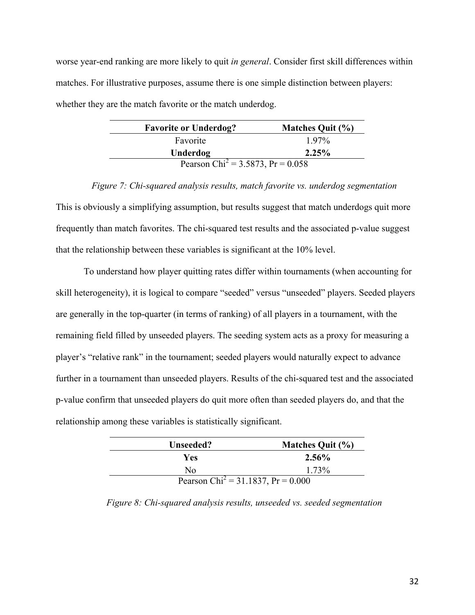worse year-end ranking are more likely to quit *in general*. Consider first skill differences within matches. For illustrative purposes, assume there is one simple distinction between players: whether they are the match favorite or the match underdog.

| <b>Favorite or Underdog?</b>                    | <b>Matches Quit (%)</b> |
|-------------------------------------------------|-------------------------|
| Favorite                                        | $1.97\%$                |
| Underdog                                        | $2.25\%$                |
| Pearson Chi <sup>2</sup> = 3.5873, Pr = $0.058$ |                         |

*Figure 7: Chi-squared analysis results, match favorite vs. underdog segmentation* This is obviously a simplifying assumption, but results suggest that match underdogs quit more frequently than match favorites. The chi-squared test results and the associated p-value suggest that the relationship between these variables is significant at the 10% level.

To understand how player quitting rates differ within tournaments (when accounting for skill heterogeneity), it is logical to compare "seeded" versus "unseeded" players. Seeded players are generally in the top-quarter (in terms of ranking) of all players in a tournament, with the remaining field filled by unseeded players. The seeding system acts as a proxy for measuring a player's "relative rank" in the tournament; seeded players would naturally expect to advance further in a tournament than unseeded players. Results of the chi-squared test and the associated p-value confirm that unseeded players do quit more often than seeded players do, and that the relationship among these variables is statistically significant.

| Unseeded?                                      | Matches Quit (%) |
|------------------------------------------------|------------------|
| Yes                                            | 2.56%            |
| Nο                                             | 1 73%            |
| Pearson Chi <sup>2</sup> = 31.1837, Pr = 0.000 |                  |

*Figure 8: Chi-squared analysis results, unseeded vs. seeded segmentation*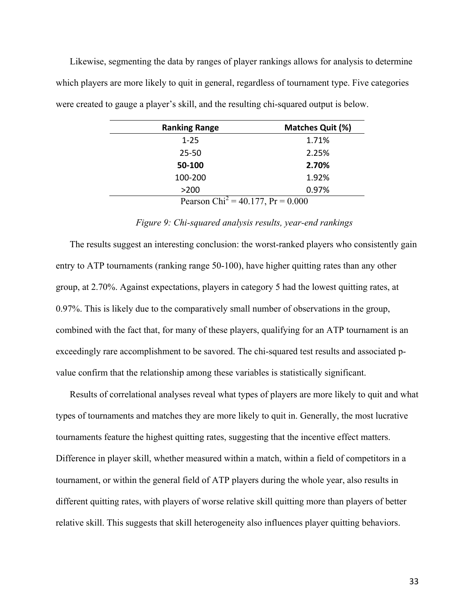Likewise, segmenting the data by ranges of player rankings allows for analysis to determine which players are more likely to quit in general, regardless of tournament type. Five categories were created to gauge a player's skill, and the resulting chi-squared output is below.

| <b>Ranking Range</b>                          | <b>Matches Quit (%)</b> |  |  |
|-----------------------------------------------|-------------------------|--|--|
| $1 - 25$                                      | 1.71%                   |  |  |
| $25 - 50$                                     | 2.25%                   |  |  |
| 50-100                                        | 2.70%                   |  |  |
| 100-200                                       | 1.92%                   |  |  |
| >200                                          | 0.97%                   |  |  |
| Pearson Chi <sup>2</sup> = 40.177, Pr = 0.000 |                         |  |  |

*Figure 9: Chi-squared analysis results, year-end rankings*

The results suggest an interesting conclusion: the worst-ranked players who consistently gain entry to ATP tournaments (ranking range 50-100), have higher quitting rates than any other group, at 2.70%. Against expectations, players in category 5 had the lowest quitting rates, at 0.97%. This is likely due to the comparatively small number of observations in the group, combined with the fact that, for many of these players, qualifying for an ATP tournament is an exceedingly rare accomplishment to be savored. The chi-squared test results and associated pvalue confirm that the relationship among these variables is statistically significant.

Results of correlational analyses reveal what types of players are more likely to quit and what types of tournaments and matches they are more likely to quit in. Generally, the most lucrative tournaments feature the highest quitting rates, suggesting that the incentive effect matters. Difference in player skill, whether measured within a match, within a field of competitors in a tournament, or within the general field of ATP players during the whole year, also results in different quitting rates, with players of worse relative skill quitting more than players of better relative skill. This suggests that skill heterogeneity also influences player quitting behaviors.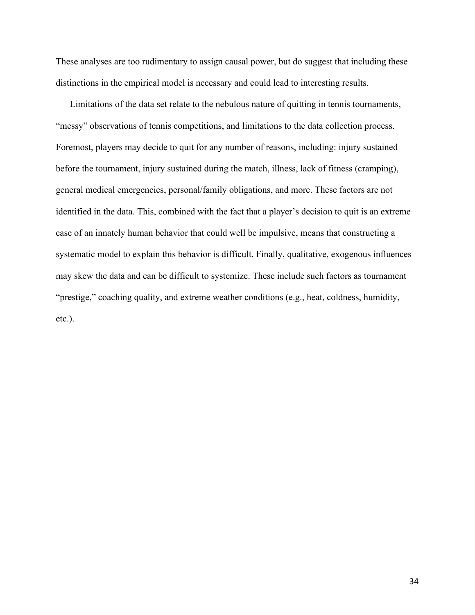These analyses are too rudimentary to assign causal power, but do suggest that including these distinctions in the empirical model is necessary and could lead to interesting results.

Limitations of the data set relate to the nebulous nature of quitting in tennis tournaments, "messy" observations of tennis competitions, and limitations to the data collection process. Foremost, players may decide to quit for any number of reasons, including: injury sustained before the tournament, injury sustained during the match, illness, lack of fitness (cramping), general medical emergencies, personal/family obligations, and more. These factors are not identified in the data. This, combined with the fact that a player's decision to quit is an extreme case of an innately human behavior that could well be impulsive, means that constructing a systematic model to explain this behavior is difficult. Finally, qualitative, exogenous influences may skew the data and can be difficult to systemize. These include such factors as tournament "prestige," coaching quality, and extreme weather conditions (e.g., heat, coldness, humidity, etc.).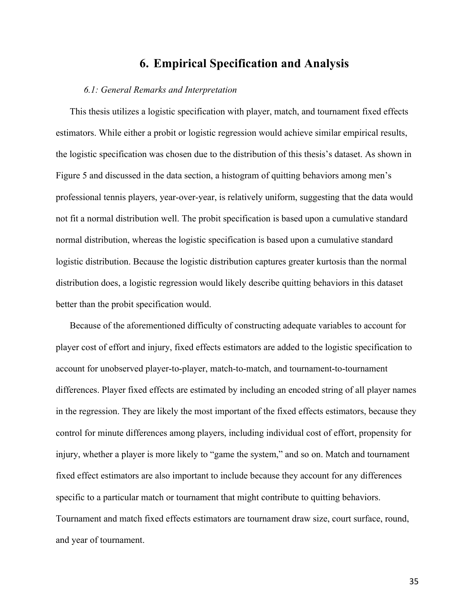## **6. Empirical Specification and Analysis**

#### *6.1: General Remarks and Interpretation*

This thesis utilizes a logistic specification with player, match, and tournament fixed effects estimators. While either a probit or logistic regression would achieve similar empirical results, the logistic specification was chosen due to the distribution of this thesis's dataset. As shown in Figure 5 and discussed in the data section, a histogram of quitting behaviors among men's professional tennis players, year-over-year, is relatively uniform, suggesting that the data would not fit a normal distribution well. The probit specification is based upon a cumulative standard normal distribution, whereas the logistic specification is based upon a cumulative standard logistic distribution. Because the logistic distribution captures greater kurtosis than the normal distribution does, a logistic regression would likely describe quitting behaviors in this dataset better than the probit specification would.

Because of the aforementioned difficulty of constructing adequate variables to account for player cost of effort and injury, fixed effects estimators are added to the logistic specification to account for unobserved player-to-player, match-to-match, and tournament-to-tournament differences. Player fixed effects are estimated by including an encoded string of all player names in the regression. They are likely the most important of the fixed effects estimators, because they control for minute differences among players, including individual cost of effort, propensity for injury, whether a player is more likely to "game the system," and so on. Match and tournament fixed effect estimators are also important to include because they account for any differences specific to a particular match or tournament that might contribute to quitting behaviors. Tournament and match fixed effects estimators are tournament draw size, court surface, round, and year of tournament.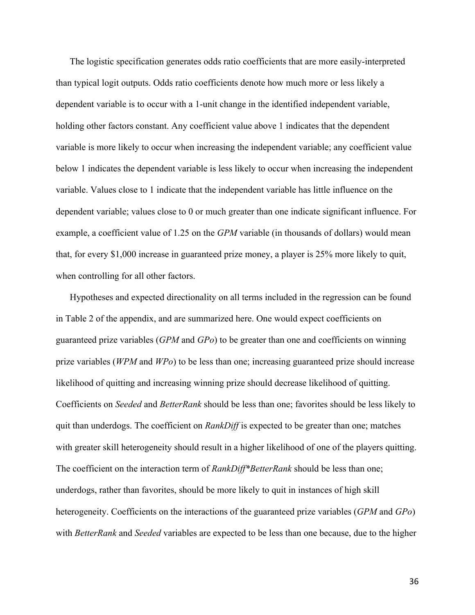The logistic specification generates odds ratio coefficients that are more easily-interpreted than typical logit outputs. Odds ratio coefficients denote how much more or less likely a dependent variable is to occur with a 1-unit change in the identified independent variable, holding other factors constant. Any coefficient value above 1 indicates that the dependent variable is more likely to occur when increasing the independent variable; any coefficient value below 1 indicates the dependent variable is less likely to occur when increasing the independent variable. Values close to 1 indicate that the independent variable has little influence on the dependent variable; values close to 0 or much greater than one indicate significant influence. For example, a coefficient value of 1.25 on the *GPM* variable (in thousands of dollars) would mean that, for every \$1,000 increase in guaranteed prize money, a player is 25% more likely to quit, when controlling for all other factors.

Hypotheses and expected directionality on all terms included in the regression can be found in Table 2 of the appendix, and are summarized here. One would expect coefficients on guaranteed prize variables (*GPM* and *GPo*) to be greater than one and coefficients on winning prize variables (*WPM* and *WPo*) to be less than one; increasing guaranteed prize should increase likelihood of quitting and increasing winning prize should decrease likelihood of quitting. Coefficients on *Seeded* and *BetterRank* should be less than one; favorites should be less likely to quit than underdogs. The coefficient on *RankDiff* is expected to be greater than one; matches with greater skill heterogeneity should result in a higher likelihood of one of the players quitting. The coefficient on the interaction term of *RankDiff\*BetterRank* should be less than one; underdogs, rather than favorites, should be more likely to quit in instances of high skill heterogeneity. Coefficients on the interactions of the guaranteed prize variables (*GPM* and *GPo*) with *BetterRank* and *Seeded* variables are expected to be less than one because, due to the higher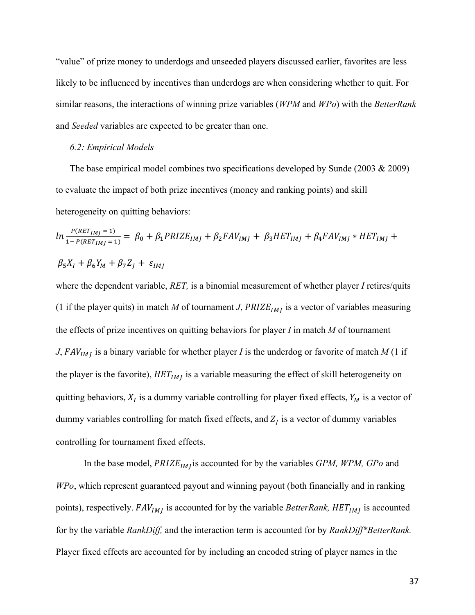"value" of prize money to underdogs and unseeded players discussed earlier, favorites are less likely to be influenced by incentives than underdogs are when considering whether to quit. For similar reasons, the interactions of winning prize variables (*WPM* and *WPo*) with the *BetterRank*  and *Seeded* variables are expected to be greater than one.

#### *6.2: Empirical Models*

The base empirical model combines two specifications developed by Sunde (2003 & 2009) to evaluate the impact of both prize incentives (money and ranking points) and skill heterogeneity on quitting behaviors:

$$
ln \frac{P(RET_{IMJ}=1)}{1 - P(RET_{IMJ}=1)} = \beta_0 + \beta_1 PRIZE_{IMJ} + \beta_2 FAV_{IMJ} + \beta_3 HET_{IMJ} + \beta_4 FAV_{IMJ} * HET_{IMJ} + \beta_5 X_I + \beta_6 Y_M + \beta_7 Z_J + \varepsilon_{IMJ}
$$

where the dependent variable, *RET,* is a binomial measurement of whether player *I* retires/quits (1 if the player quits) in match *M* of tournament *J*,  $PRIZE_{IM}$  is a vector of variables measuring the effects of prize incentives on quitting behaviors for player *I* in match *M* of tournament *J*,  $FAV_{IM}$  is a binary variable for whether player *I* is the underdog or favorite of match *M* (1 if the player is the favorite),  $HET_{IMI}$  is a variable measuring the effect of skill heterogeneity on quitting behaviors,  $X_I$  is a dummy variable controlling for player fixed effects,  $Y_M$  is a vector of dummy variables controlling for match fixed effects, and  $Z_I$  is a vector of dummy variables controlling for tournament fixed effects.

In the base model, *PRIZE<sub>IMI</sub>* is accounted for by the variables *GPM, WPM, GPo* and *WPo*, which represent guaranteed payout and winning payout (both financially and in ranking points), respectively.  $FAV_{IMJ}$  is accounted for by the variable *BetterRank*,  $HET_{IMJ}$  is accounted for by the variable *RankDiff,* and the interaction term is accounted for by *RankDiff\*BetterRank.*  Player fixed effects are accounted for by including an encoded string of player names in the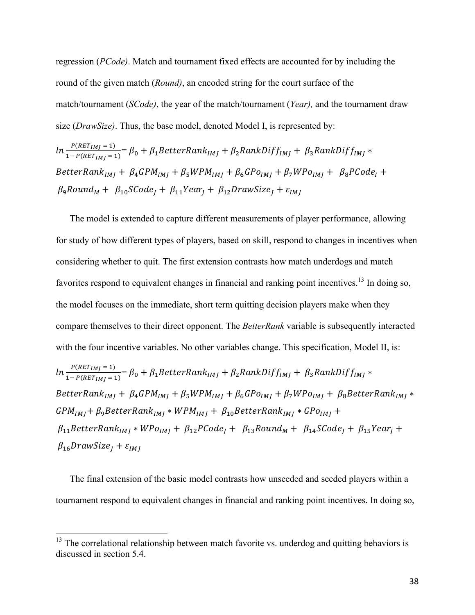regression (*PCode)*. Match and tournament fixed effects are accounted for by including the round of the given match (*Round)*, an encoded string for the court surface of the match/tournament (*SCode)*, the year of the match/tournament (*Year),* and the tournament draw size (*DrawSize)*. Thus, the base model, denoted Model I, is represented by:

$$
ln \frac{P(RET_{IMJ}=1)}{1-P(RET_{IMJ}=1)} = \beta_0 + \beta_1 BetterRank_{IMJ} + \beta_2 RankDiff_{IMJ} + \beta_3 RankDiff_{IMJ} *
$$
  
BetterRank<sub>IMJ</sub> + \beta\_4 GPM<sub>IMJ</sub> + \beta\_5 WPM<sub>IMJ</sub> + \beta\_6 GPO<sub>IMJ</sub> + \beta\_7 WPO<sub>IMJ</sub> + \beta\_8 PCode<sub>I</sub> +  
 $\beta_9 Round_M + \beta_{10} SCode_J + \beta_{11} Year_J + \beta_{12} DrawSize_J + \varepsilon_{IMJ}$ 

The model is extended to capture different measurements of player performance, allowing for study of how different types of players, based on skill, respond to changes in incentives when considering whether to quit. The first extension contrasts how match underdogs and match favorites respond to equivalent changes in financial and ranking point incentives.<sup>13</sup> In doing so, the model focuses on the immediate, short term quitting decision players make when they compare themselves to their direct opponent. The *BetterRank* variable is subsequently interacted with the four incentive variables. No other variables change. This specification, Model II, is:

$$
ln \frac{P(RET_{IMJ}=1)}{1-P(RET_{IMJ}=1)} = \beta_0 + \beta_1 BetterRank_{IMJ} + \beta_2 RankDiff_{IMJ} + \beta_3 RankDiff_{IMJ} *
$$
  
BetterRank<sub>IMJ</sub> +  $\beta_4 GPM_{IMJ} + \beta_5 WPM_{IMJ} + \beta_6 GPO_{IMJ} + \beta_7 WPO_{IMJ} + \beta_8 BetterRank_{IMJ} *$   
 $GPM_{IMJ} + \beta_9 BetterRank_{IMJ} * WPM_{IMJ} + \beta_{10} BetterRank_{IMJ} * GPO_{IMJ} +$   
 $\beta_{11} BetterRank_{IMJ} * WPO_{IMJ} + \beta_{12} PCode_J + \beta_{13} Round_M + \beta_{14} SCode_J + \beta_{15} Year_J +$   
 $\beta_{16} DrawSize_J + \varepsilon_{IMJ}$ 

The final extension of the basic model contrasts how unseeded and seeded players within a tournament respond to equivalent changes in financial and ranking point incentives. In doing so,

 $13$  The correlational relationship between match favorite vs. underdog and quitting behaviors is discussed in section 5.4.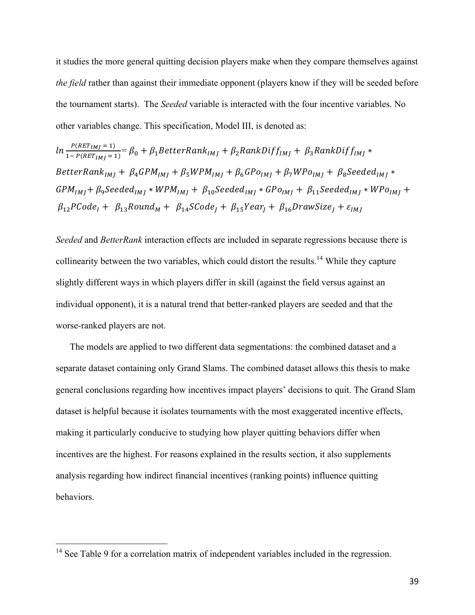it studies the more general quitting decision players make when they compare themselves against *the field* rather than against their immediate opponent (players know if they will be seeded before the tournament starts). The *Seeded* variable is interacted with the four incentive variables. No other variables change. This specification, Model III, is denoted as:

$$
ln \frac{P(RET_{IMJ}=1)}{1-P(RET_{IMJ}=1)} = \beta_0 + \beta_1 BetterRank_{IMJ} + \beta_2 RankDiff_{IMJ} + \beta_3 RankDiff_{IMJ} *
$$
  
BetterRank<sub>IMJ</sub> +  $\beta_4 GPM_{IMJ} + \beta_5 WPM_{IMJ} + \beta_6 GPO_{IMJ} + \beta_7 WPO_{IMJ} + \beta_8 Speeded_{IMJ} *$   
 $GPM_{IMJ} + \beta_9 Speeded_{IMJ} * WPM_{IMJ} + \beta_{10} Speeded_{IMJ} * GPO_{IMJ} + \beta_{11} Speeded_{IMJ} * WPO_{IMJ} +$   
 $\beta_{12} PCode_{I} + \beta_{13} Round_{M} + \beta_{14} SCode_{J} + \beta_{15} Year_{J} + \beta_{16} DrawSize_{J} + \varepsilon_{IMJ}$ 

*Seeded* and *BetterRank* interaction effects are included in separate regressions because there is collinearity between the two variables, which could distort the results.<sup>14</sup> While they capture slightly different ways in which players differ in skill (against the field versus against an individual opponent), it is a natural trend that better-ranked players are seeded and that the worse-ranked players are not.

The models are applied to two different data segmentations: the combined dataset and a separate dataset containing only Grand Slams. The combined dataset allows this thesis to make general conclusions regarding how incentives impact players' decisions to quit. The Grand Slam dataset is helpful because it isolates tournaments with the most exaggerated incentive effects, making it particularly conducive to studying how player quitting behaviors differ when incentives are the highest. For reasons explained in the results section, it also supplements analysis regarding how indirect financial incentives (ranking points) influence quitting behaviors.

<sup>&</sup>lt;sup>14</sup> See Table 9 for a correlation matrix of independent variables included in the regression.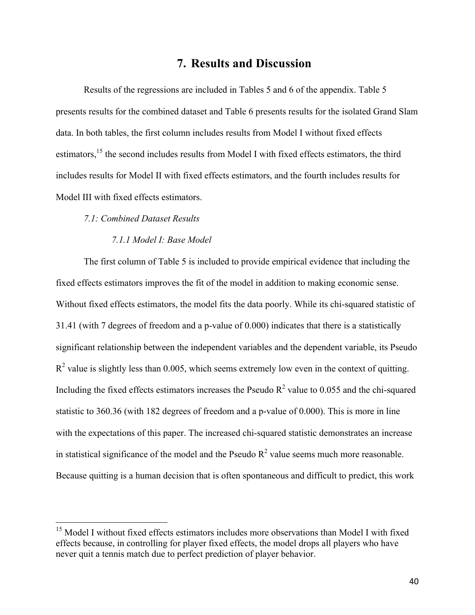## **7. Results and Discussion**

Results of the regressions are included in Tables 5 and 6 of the appendix. Table 5 presents results for the combined dataset and Table 6 presents results for the isolated Grand Slam data. In both tables, the first column includes results from Model I without fixed effects estimators,<sup>15</sup> the second includes results from Model I with fixed effects estimators, the third includes results for Model II with fixed effects estimators, and the fourth includes results for Model III with fixed effects estimators.

#### *7.1: Combined Dataset Results*

#### *7.1.1 Model I: Base Model*

The first column of Table 5 is included to provide empirical evidence that including the fixed effects estimators improves the fit of the model in addition to making economic sense. Without fixed effects estimators, the model fits the data poorly. While its chi-squared statistic of 31.41 (with 7 degrees of freedom and a p-value of 0.000) indicates that there is a statistically significant relationship between the independent variables and the dependent variable, its Pseudo  $R<sup>2</sup>$  value is slightly less than 0.005, which seems extremely low even in the context of quitting. Including the fixed effects estimators increases the Pseudo  $R^2$  value to 0.055 and the chi-squared statistic to 360.36 (with 182 degrees of freedom and a p-value of 0.000). This is more in line with the expectations of this paper. The increased chi-squared statistic demonstrates an increase in statistical significance of the model and the Pseudo  $R^2$  value seems much more reasonable. Because quitting is a human decision that is often spontaneous and difficult to predict, this work

<sup>&</sup>lt;sup>15</sup> Model I without fixed effects estimators includes more observations than Model I with fixed effects because, in controlling for player fixed effects, the model drops all players who have never quit a tennis match due to perfect prediction of player behavior.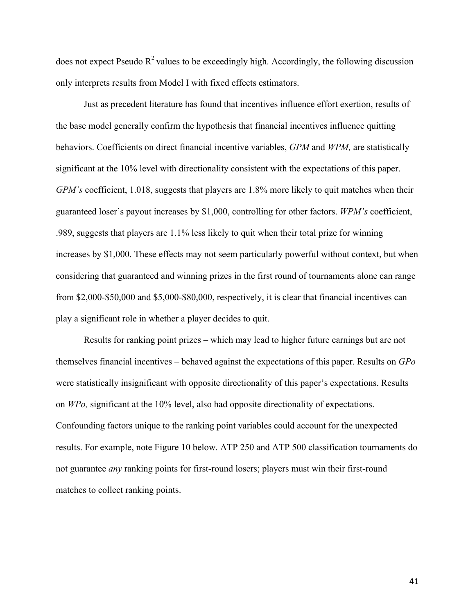does not expect Pseudo  $R^2$  values to be exceedingly high. Accordingly, the following discussion only interprets results from Model I with fixed effects estimators.

Just as precedent literature has found that incentives influence effort exertion, results of the base model generally confirm the hypothesis that financial incentives influence quitting behaviors. Coefficients on direct financial incentive variables, *GPM* and *WPM,* are statistically significant at the 10% level with directionality consistent with the expectations of this paper. *GPM's* coefficient, 1.018, suggests that players are 1.8% more likely to quit matches when their guaranteed loser's payout increases by \$1,000, controlling for other factors. *WPM's* coefficient, .989, suggests that players are 1.1% less likely to quit when their total prize for winning increases by \$1,000. These effects may not seem particularly powerful without context, but when considering that guaranteed and winning prizes in the first round of tournaments alone can range from \$2,000-\$50,000 and \$5,000-\$80,000, respectively, it is clear that financial incentives can play a significant role in whether a player decides to quit.

Results for ranking point prizes – which may lead to higher future earnings but are not themselves financial incentives – behaved against the expectations of this paper. Results on *GPo*  were statistically insignificant with opposite directionality of this paper's expectations. Results on *WPo,* significant at the 10% level, also had opposite directionality of expectations. Confounding factors unique to the ranking point variables could account for the unexpected results. For example, note Figure 10 below. ATP 250 and ATP 500 classification tournaments do not guarantee *any* ranking points for first-round losers; players must win their first-round matches to collect ranking points.

41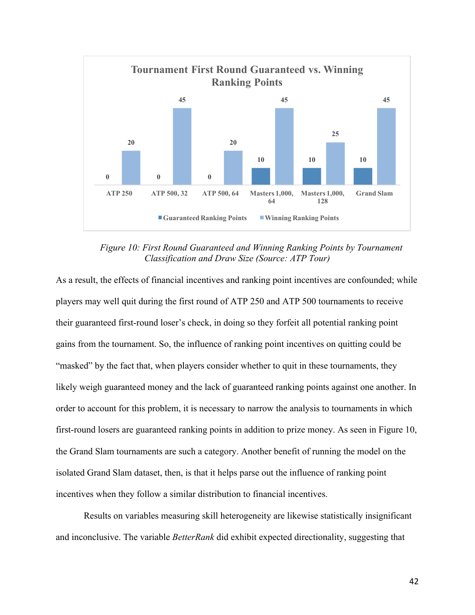

*Figure 10: First Round Guaranteed and Winning Ranking Points by Tournament Classification and Draw Size (Source: ATP Tour)*

As a result, the effects of financial incentives and ranking point incentives are confounded; while players may well quit during the first round of ATP 250 and ATP 500 tournaments to receive their guaranteed first-round loser's check, in doing so they forfeit all potential ranking point gains from the tournament. So, the influence of ranking point incentives on quitting could be "masked" by the fact that, when players consider whether to quit in these tournaments, they likely weigh guaranteed money and the lack of guaranteed ranking points against one another. In order to account for this problem, it is necessary to narrow the analysis to tournaments in which first-round losers are guaranteed ranking points in addition to prize money. As seen in Figure 10, the Grand Slam tournaments are such a category. Another benefit of running the model on the isolated Grand Slam dataset, then, is that it helps parse out the influence of ranking point incentives when they follow a similar distribution to financial incentives.

Results on variables measuring skill heterogeneity are likewise statistically insignificant and inconclusive. The variable *BetterRank* did exhibit expected directionality, suggesting that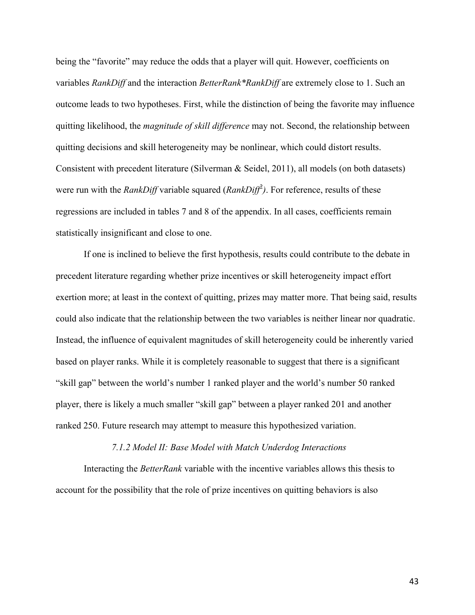being the "favorite" may reduce the odds that a player will quit. However, coefficients on variables *RankDiff* and the interaction *BetterRank\*RankDiff* are extremely close to 1. Such an outcome leads to two hypotheses. First, while the distinction of being the favorite may influence quitting likelihood, the *magnitude of skill difference* may not. Second, the relationship between quitting decisions and skill heterogeneity may be nonlinear, which could distort results. Consistent with precedent literature (Silverman & Seidel, 2011), all models (on both datasets) were run with the *RankDiff* variable squared (*RankDiff<sup>2</sup>*). For reference, results of these regressions are included in tables 7 and 8 of the appendix. In all cases, coefficients remain statistically insignificant and close to one.

If one is inclined to believe the first hypothesis, results could contribute to the debate in precedent literature regarding whether prize incentives or skill heterogeneity impact effort exertion more; at least in the context of quitting, prizes may matter more. That being said, results could also indicate that the relationship between the two variables is neither linear nor quadratic. Instead, the influence of equivalent magnitudes of skill heterogeneity could be inherently varied based on player ranks. While it is completely reasonable to suggest that there is a significant "skill gap" between the world's number 1 ranked player and the world's number 50 ranked player, there is likely a much smaller "skill gap" between a player ranked 201 and another ranked 250. Future research may attempt to measure this hypothesized variation.

#### *7.1.2 Model II: Base Model with Match Underdog Interactions*

Interacting the *BetterRank* variable with the incentive variables allows this thesis to account for the possibility that the role of prize incentives on quitting behaviors is also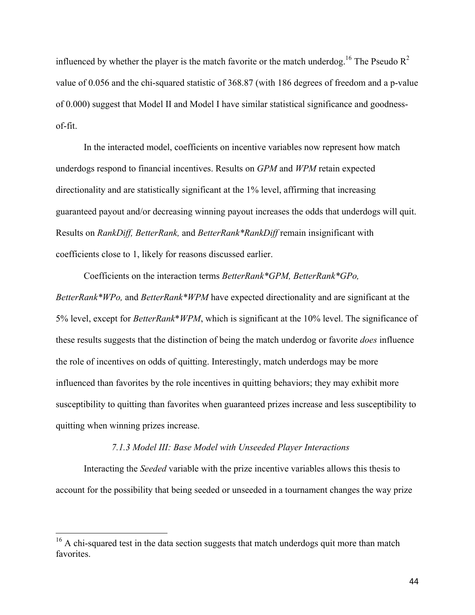influenced by whether the player is the match favorite or the match underdog.<sup>16</sup> The Pseudo  $R^2$ value of 0.056 and the chi-squared statistic of 368.87 (with 186 degrees of freedom and a p-value of 0.000) suggest that Model II and Model I have similar statistical significance and goodnessof-fit.

In the interacted model, coefficients on incentive variables now represent how match underdogs respond to financial incentives. Results on *GPM* and *WPM* retain expected directionality and are statistically significant at the 1% level, affirming that increasing guaranteed payout and/or decreasing winning payout increases the odds that underdogs will quit. Results on *RankDiff, BetterRank,* and *BetterRank\*RankDiff* remain insignificant with coefficients close to 1, likely for reasons discussed earlier.

Coefficients on the interaction terms *BetterRank\*GPM, BetterRank\*GPo, BetterRank\*WPo,* and *BetterRank\*WPM* have expected directionality and are significant at the 5% level, except for *BetterRank*\**WPM*, which is significant at the 10% level. The significance of these results suggests that the distinction of being the match underdog or favorite *does* influence the role of incentives on odds of quitting. Interestingly, match underdogs may be more influenced than favorites by the role incentives in quitting behaviors; they may exhibit more susceptibility to quitting than favorites when guaranteed prizes increase and less susceptibility to quitting when winning prizes increase.

#### *7.1.3 Model III: Base Model with Unseeded Player Interactions*

Interacting the *Seeded* variable with the prize incentive variables allows this thesis to account for the possibility that being seeded or unseeded in a tournament changes the way prize

<sup>&</sup>lt;sup>16</sup> A chi-squared test in the data section suggests that match underdogs quit more than match favorites.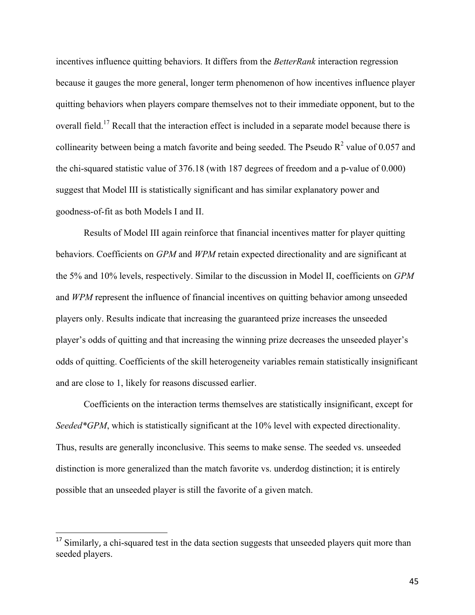incentives influence quitting behaviors. It differs from the *BetterRank* interaction regression because it gauges the more general, longer term phenomenon of how incentives influence player quitting behaviors when players compare themselves not to their immediate opponent, but to the overall field.17 Recall that the interaction effect is included in a separate model because there is collinearity between being a match favorite and being seeded. The Pseudo  $R^2$  value of 0.057 and the chi-squared statistic value of 376.18 (with 187 degrees of freedom and a p-value of 0.000) suggest that Model III is statistically significant and has similar explanatory power and goodness-of-fit as both Models I and II.

Results of Model III again reinforce that financial incentives matter for player quitting behaviors. Coefficients on *GPM* and *WPM* retain expected directionality and are significant at the 5% and 10% levels, respectively. Similar to the discussion in Model II, coefficients on *GPM*  and *WPM* represent the influence of financial incentives on quitting behavior among unseeded players only. Results indicate that increasing the guaranteed prize increases the unseeded player's odds of quitting and that increasing the winning prize decreases the unseeded player's odds of quitting. Coefficients of the skill heterogeneity variables remain statistically insignificant and are close to 1, likely for reasons discussed earlier.

Coefficients on the interaction terms themselves are statistically insignificant, except for *Seeded\*GPM*, which is statistically significant at the 10% level with expected directionality. Thus, results are generally inconclusive. This seems to make sense. The seeded vs. unseeded distinction is more generalized than the match favorite vs. underdog distinction; it is entirely possible that an unseeded player is still the favorite of a given match.

 $\overline{a}$ 

<sup>&</sup>lt;sup>17</sup> Similarly, a chi-squared test in the data section suggests that unseeded players quit more than seeded players.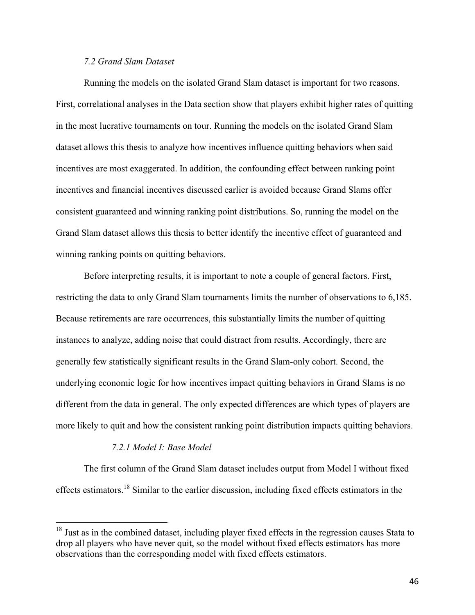#### *7.2 Grand Slam Dataset*

Running the models on the isolated Grand Slam dataset is important for two reasons. First, correlational analyses in the Data section show that players exhibit higher rates of quitting in the most lucrative tournaments on tour. Running the models on the isolated Grand Slam dataset allows this thesis to analyze how incentives influence quitting behaviors when said incentives are most exaggerated. In addition, the confounding effect between ranking point incentives and financial incentives discussed earlier is avoided because Grand Slams offer consistent guaranteed and winning ranking point distributions. So, running the model on the Grand Slam dataset allows this thesis to better identify the incentive effect of guaranteed and winning ranking points on quitting behaviors.

Before interpreting results, it is important to note a couple of general factors. First, restricting the data to only Grand Slam tournaments limits the number of observations to 6,185. Because retirements are rare occurrences, this substantially limits the number of quitting instances to analyze, adding noise that could distract from results. Accordingly, there are generally few statistically significant results in the Grand Slam-only cohort. Second, the underlying economic logic for how incentives impact quitting behaviors in Grand Slams is no different from the data in general. The only expected differences are which types of players are more likely to quit and how the consistent ranking point distribution impacts quitting behaviors.

#### *7.2.1 Model I: Base Model*

The first column of the Grand Slam dataset includes output from Model I without fixed effects estimators.<sup>18</sup> Similar to the earlier discussion, including fixed effects estimators in the

<sup>&</sup>lt;sup>18</sup> Just as in the combined dataset, including player fixed effects in the regression causes Stata to drop all players who have never quit, so the model without fixed effects estimators has more observations than the corresponding model with fixed effects estimators.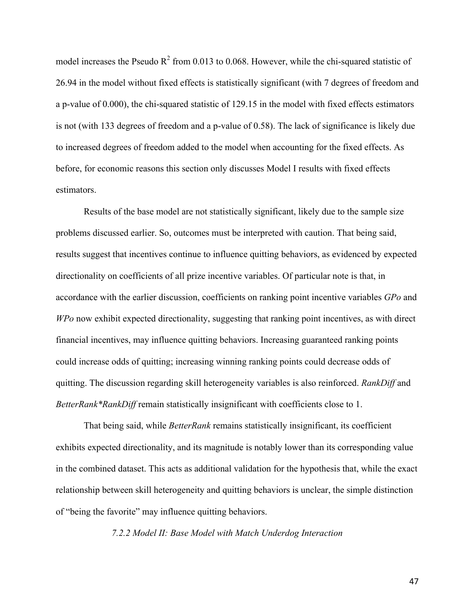model increases the Pseudo  $R^2$  from 0.013 to 0.068. However, while the chi-squared statistic of 26.94 in the model without fixed effects is statistically significant (with 7 degrees of freedom and a p-value of 0.000), the chi-squared statistic of 129.15 in the model with fixed effects estimators is not (with 133 degrees of freedom and a p-value of 0.58). The lack of significance is likely due to increased degrees of freedom added to the model when accounting for the fixed effects. As before, for economic reasons this section only discusses Model I results with fixed effects estimators.

Results of the base model are not statistically significant, likely due to the sample size problems discussed earlier. So, outcomes must be interpreted with caution. That being said, results suggest that incentives continue to influence quitting behaviors, as evidenced by expected directionality on coefficients of all prize incentive variables. Of particular note is that, in accordance with the earlier discussion, coefficients on ranking point incentive variables *GPo* and *WPo* now exhibit expected directionality, suggesting that ranking point incentives, as with direct financial incentives, may influence quitting behaviors. Increasing guaranteed ranking points could increase odds of quitting; increasing winning ranking points could decrease odds of quitting. The discussion regarding skill heterogeneity variables is also reinforced. *RankDiff* and *BetterRank\*RankDiff* remain statistically insignificant with coefficients close to 1.

That being said, while *BetterRank* remains statistically insignificant, its coefficient exhibits expected directionality, and its magnitude is notably lower than its corresponding value in the combined dataset. This acts as additional validation for the hypothesis that, while the exact relationship between skill heterogeneity and quitting behaviors is unclear, the simple distinction of "being the favorite" may influence quitting behaviors.

*7.2.2 Model II: Base Model with Match Underdog Interaction*

47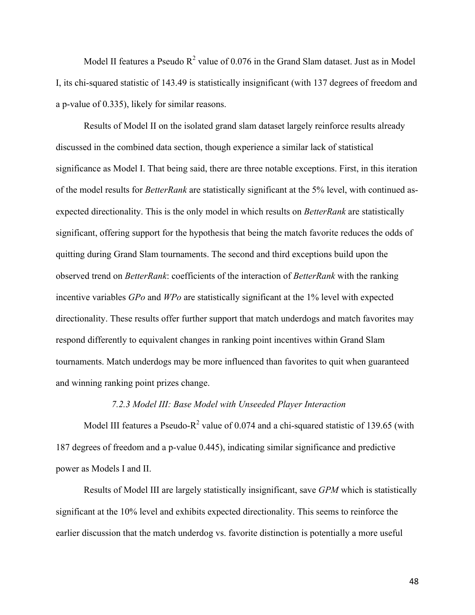Model II features a Pseudo  $R^2$  value of 0.076 in the Grand Slam dataset. Just as in Model I, its chi-squared statistic of 143.49 is statistically insignificant (with 137 degrees of freedom and a p-value of 0.335), likely for similar reasons.

Results of Model II on the isolated grand slam dataset largely reinforce results already discussed in the combined data section, though experience a similar lack of statistical significance as Model I. That being said, there are three notable exceptions. First, in this iteration of the model results for *BetterRank* are statistically significant at the 5% level, with continued asexpected directionality. This is the only model in which results on *BetterRank* are statistically significant, offering support for the hypothesis that being the match favorite reduces the odds of quitting during Grand Slam tournaments. The second and third exceptions build upon the observed trend on *BetterRank*: coefficients of the interaction of *BetterRank* with the ranking incentive variables *GPo* and *WPo* are statistically significant at the 1% level with expected directionality. These results offer further support that match underdogs and match favorites may respond differently to equivalent changes in ranking point incentives within Grand Slam tournaments. Match underdogs may be more influenced than favorites to quit when guaranteed and winning ranking point prizes change.

#### *7.2.3 Model III: Base Model with Unseeded Player Interaction*

Model III features a Pseudo-R<sup>2</sup> value of 0.074 and a chi-squared statistic of 139.65 (with 187 degrees of freedom and a p-value 0.445), indicating similar significance and predictive power as Models I and II.

Results of Model III are largely statistically insignificant, save *GPM* which is statistically significant at the 10% level and exhibits expected directionality. This seems to reinforce the earlier discussion that the match underdog vs. favorite distinction is potentially a more useful

48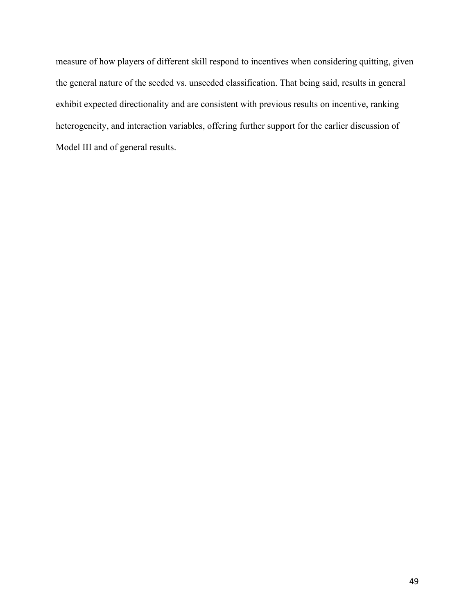measure of how players of different skill respond to incentives when considering quitting, given the general nature of the seeded vs. unseeded classification. That being said, results in general exhibit expected directionality and are consistent with previous results on incentive, ranking heterogeneity, and interaction variables, offering further support for the earlier discussion of Model III and of general results.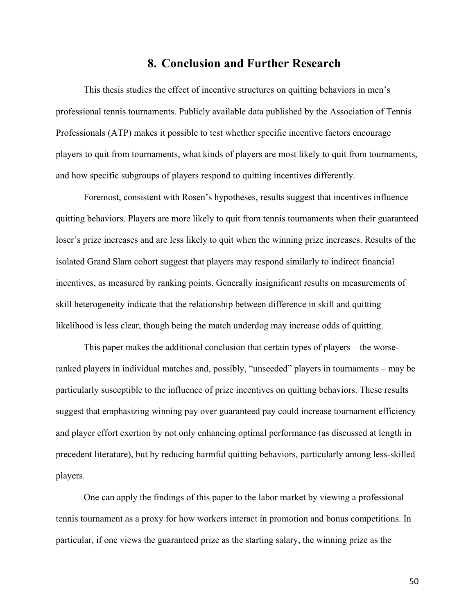## **8. Conclusion and Further Research**

This thesis studies the effect of incentive structures on quitting behaviors in men's professional tennis tournaments. Publicly available data published by the Association of Tennis Professionals (ATP) makes it possible to test whether specific incentive factors encourage players to quit from tournaments, what kinds of players are most likely to quit from tournaments, and how specific subgroups of players respond to quitting incentives differently.

Foremost, consistent with Rosen's hypotheses, results suggest that incentives influence quitting behaviors. Players are more likely to quit from tennis tournaments when their guaranteed loser's prize increases and are less likely to quit when the winning prize increases. Results of the isolated Grand Slam cohort suggest that players may respond similarly to indirect financial incentives, as measured by ranking points. Generally insignificant results on measurements of skill heterogeneity indicate that the relationship between difference in skill and quitting likelihood is less clear, though being the match underdog may increase odds of quitting.

This paper makes the additional conclusion that certain types of players – the worseranked players in individual matches and, possibly, "unseeded" players in tournaments – may be particularly susceptible to the influence of prize incentives on quitting behaviors. These results suggest that emphasizing winning pay over guaranteed pay could increase tournament efficiency and player effort exertion by not only enhancing optimal performance (as discussed at length in precedent literature), but by reducing harmful quitting behaviors, particularly among less-skilled players.

One can apply the findings of this paper to the labor market by viewing a professional tennis tournament as a proxy for how workers interact in promotion and bonus competitions. In particular, if one views the guaranteed prize as the starting salary, the winning prize as the

50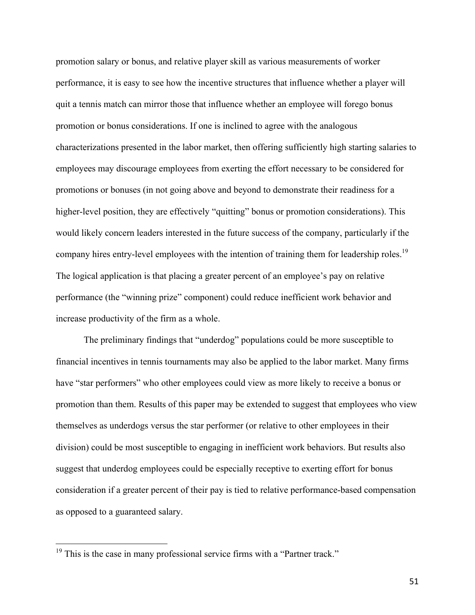promotion salary or bonus, and relative player skill as various measurements of worker performance, it is easy to see how the incentive structures that influence whether a player will quit a tennis match can mirror those that influence whether an employee will forego bonus promotion or bonus considerations. If one is inclined to agree with the analogous characterizations presented in the labor market, then offering sufficiently high starting salaries to employees may discourage employees from exerting the effort necessary to be considered for promotions or bonuses (in not going above and beyond to demonstrate their readiness for a higher-level position, they are effectively "quitting" bonus or promotion considerations). This would likely concern leaders interested in the future success of the company, particularly if the company hires entry-level employees with the intention of training them for leadership roles.<sup>19</sup> The logical application is that placing a greater percent of an employee's pay on relative performance (the "winning prize" component) could reduce inefficient work behavior and increase productivity of the firm as a whole.

The preliminary findings that "underdog" populations could be more susceptible to financial incentives in tennis tournaments may also be applied to the labor market. Many firms have "star performers" who other employees could view as more likely to receive a bonus or promotion than them. Results of this paper may be extended to suggest that employees who view themselves as underdogs versus the star performer (or relative to other employees in their division) could be most susceptible to engaging in inefficient work behaviors. But results also suggest that underdog employees could be especially receptive to exerting effort for bonus consideration if a greater percent of their pay is tied to relative performance-based compensation as opposed to a guaranteed salary.

 $19$  This is the case in many professional service firms with a "Partner track."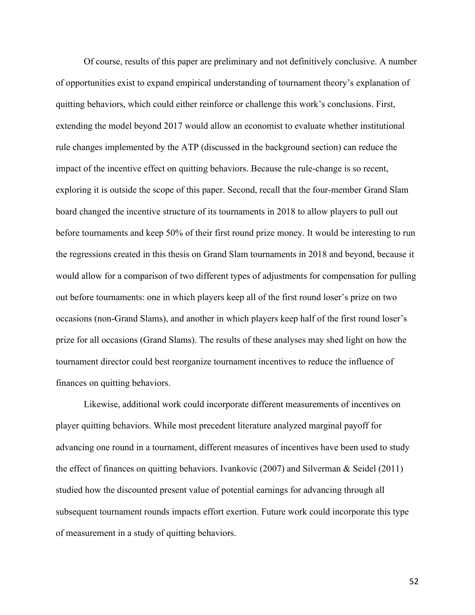Of course, results of this paper are preliminary and not definitively conclusive. A number of opportunities exist to expand empirical understanding of tournament theory's explanation of quitting behaviors, which could either reinforce or challenge this work's conclusions. First, extending the model beyond 2017 would allow an economist to evaluate whether institutional rule changes implemented by the ATP (discussed in the background section) can reduce the impact of the incentive effect on quitting behaviors. Because the rule-change is so recent, exploring it is outside the scope of this paper. Second, recall that the four-member Grand Slam board changed the incentive structure of its tournaments in 2018 to allow players to pull out before tournaments and keep 50% of their first round prize money. It would be interesting to run the regressions created in this thesis on Grand Slam tournaments in 2018 and beyond, because it would allow for a comparison of two different types of adjustments for compensation for pulling out before tournaments: one in which players keep all of the first round loser's prize on two occasions (non-Grand Slams), and another in which players keep half of the first round loser's prize for all occasions (Grand Slams). The results of these analyses may shed light on how the tournament director could best reorganize tournament incentives to reduce the influence of finances on quitting behaviors.

Likewise, additional work could incorporate different measurements of incentives on player quitting behaviors. While most precedent literature analyzed marginal payoff for advancing one round in a tournament, different measures of incentives have been used to study the effect of finances on quitting behaviors. Ivankovic (2007) and Silverman & Seidel (2011) studied how the discounted present value of potential earnings for advancing through all subsequent tournament rounds impacts effort exertion. Future work could incorporate this type of measurement in a study of quitting behaviors.

52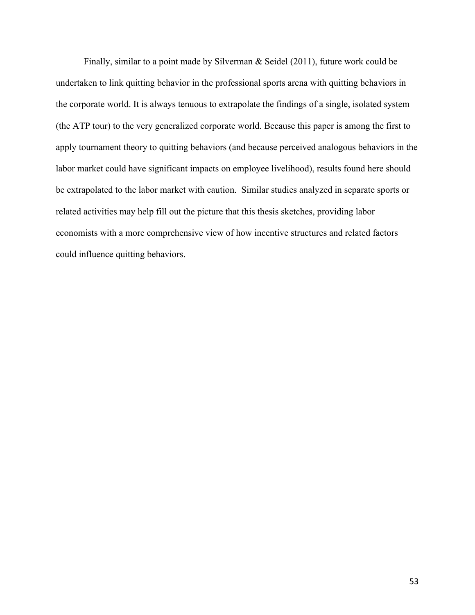Finally, similar to a point made by Silverman & Seidel (2011), future work could be undertaken to link quitting behavior in the professional sports arena with quitting behaviors in the corporate world. It is always tenuous to extrapolate the findings of a single, isolated system (the ATP tour) to the very generalized corporate world. Because this paper is among the first to apply tournament theory to quitting behaviors (and because perceived analogous behaviors in the labor market could have significant impacts on employee livelihood), results found here should be extrapolated to the labor market with caution. Similar studies analyzed in separate sports or related activities may help fill out the picture that this thesis sketches, providing labor economists with a more comprehensive view of how incentive structures and related factors could influence quitting behaviors.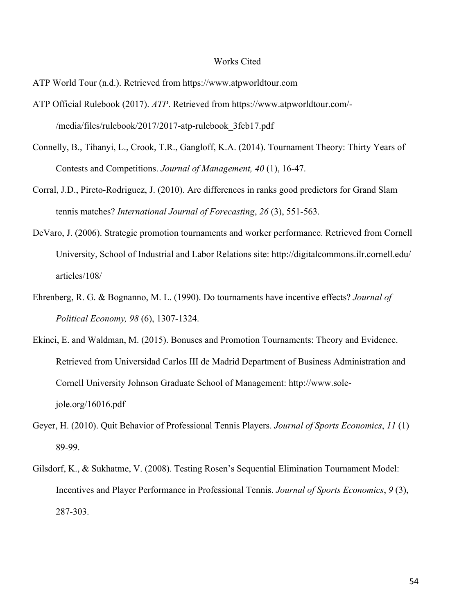#### Works Cited

- ATP World Tour (n.d.). Retrieved from https://www.atpworldtour.com
- ATP Official Rulebook (2017). *ATP*. Retrieved from https://www.atpworldtour.com/- /media/files/rulebook/2017/2017-atp-rulebook\_3feb17.pdf
- Connelly, B., Tihanyi, L., Crook, T.R., Gangloff, K.A. (2014). Tournament Theory: Thirty Years of Contests and Competitions. *Journal of Management, 40* (1), 16-47.
- Corral, J.D., Pireto-Rodriguez, J. (2010). Are differences in ranks good predictors for Grand Slam tennis matches? *International Journal of Forecasting*, *26* (3), 551-563.
- DeVaro, J. (2006). Strategic promotion tournaments and worker performance. Retrieved from Cornell University, School of Industrial and Labor Relations site: http://digitalcommons.ilr.cornell.edu/ articles/108/
- Ehrenberg, R. G. & Bognanno, M. L. (1990). Do tournaments have incentive effects? *Journal of Political Economy, 98* (6), 1307-1324.
- Ekinci, E. and Waldman, M. (2015). Bonuses and Promotion Tournaments: Theory and Evidence. Retrieved from Universidad Carlos III de Madrid Department of Business Administration and Cornell University Johnson Graduate School of Management: http://www.solejole.org/16016.pdf
- Geyer, H. (2010). Quit Behavior of Professional Tennis Players. *Journal of Sports Economics*, *11* (1) 89-99.
- Gilsdorf, K., & Sukhatme, V. (2008). Testing Rosen's Sequential Elimination Tournament Model: Incentives and Player Performance in Professional Tennis. *Journal of Sports Economics*, *9* (3), 287-303.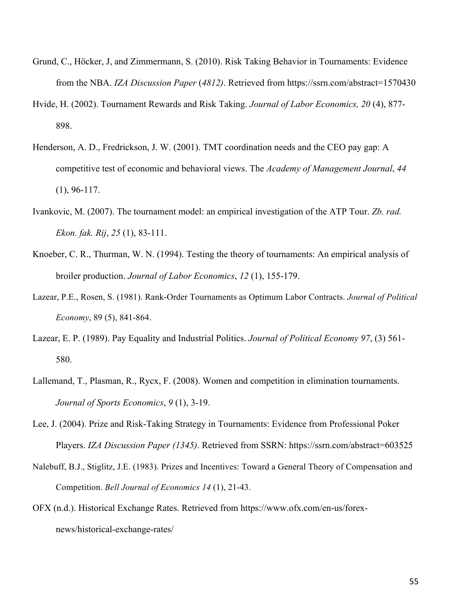- Grund, C., Höcker, J, and Zimmermann, S. (2010). Risk Taking Behavior in Tournaments: Evidence from the NBA. *IZA Discussion Paper* (*4812)*. Retrieved from https://ssrn.com/abstract=1570430
- Hvide, H. (2002). Tournament Rewards and Risk Taking. *Journal of Labor Economics, 20* (4), 877- 898.
- Henderson, A. D., Fredrickson, J. W. (2001). TMT coordination needs and the CEO pay gap: A competitive test of economic and behavioral views. The *Academy of Management Journal*, *44* (1), 96-117.
- Ivankovic, M. (2007). The tournament model: an empirical investigation of the ATP Tour. *Zb. rad. Ekon. fak. Rij*, *25* (1), 83-111.
- Knoeber, C. R., Thurman, W. N. (1994). Testing the theory of tournaments: An empirical analysis of broiler production. *Journal of Labor Economics*, *12* (1), 155-179.
- Lazear, P.E., Rosen, S. (1981). Rank-Order Tournaments as Optimum Labor Contracts. *Journal of Political Economy*, 89 (5), 841-864.
- Lazear, E. P. (1989). Pay Equality and Industrial Politics. *Journal of Political Economy 97*, (3) 561- 580.
- Lallemand, T., Plasman, R., Rycx, F. (2008). Women and competition in elimination tournaments. *Journal of Sports Economics*, *9* (1), 3-19.
- Lee, J. (2004). Prize and Risk-Taking Strategy in Tournaments: Evidence from Professional Poker Players. *IZA Discussion Paper (1345)*. Retrieved from SSRN: https://ssrn.com/abstract=603525
- Nalebuff, B.J., Stiglitz, J.E. (1983). Prizes and Incentives: Toward a General Theory of Compensation and Competition. *Bell Journal of Economics 14* (1), 21-43.
- OFX (n.d.). Historical Exchange Rates. Retrieved from https://www.ofx.com/en-us/forexnews/historical-exchange-rates/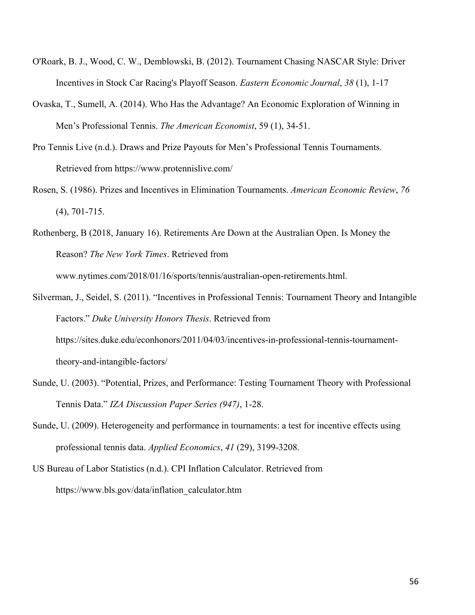- O'Roark, B. J., Wood, C. W., Demblowski, B. (2012). Tournament Chasing NASCAR Style: Driver Incentives in Stock Car Racing's Playoff Season. *Eastern Economic Journal*, *38* (1), 1-17
- Ovaska, T., Sumell, A. (2014). Who Has the Advantage? An Economic Exploration of Winning in Men's Professional Tennis. *The American Economist*, 59 (1), 34-51.
- Pro Tennis Live (n.d.). Draws and Prize Payouts for Men's Professional Tennis Tournaments. Retrieved from https://www.protennislive.com/
- Rosen, S. (1986). Prizes and Incentives in Elimination Tournaments. *American Economic Review*, *76* (4), 701-715.
- Rothenberg, B (2018, January 16). Retirements Are Down at the Australian Open. Is Money the Reason? *The New York Times*. Retrieved from www.nytimes.com/2018/01/16/sports/tennis/australian-open-retirements.html.
- Silverman, J., Seidel, S. (2011). "Incentives in Professional Tennis: Tournament Theory and Intangible Factors." *Duke University Honors Thesis*. Retrieved from https://sites.duke.edu/econhonors/2011/04/03/incentives-in-professional-tennis-tournamenttheory-and-intangible-factors/
- Sunde, U. (2003). "Potential, Prizes, and Performance: Testing Tournament Theory with Professional Tennis Data." *IZA Discussion Paper Series (947)*, 1-28.
- Sunde, U. (2009). Heterogeneity and performance in tournaments: a test for incentive effects using professional tennis data. *Applied Economics*, *41* (29), 3199-3208.
- US Bureau of Labor Statistics (n.d.). CPI Inflation Calculator. Retrieved from https://www.bls.gov/data/inflation\_calculator.htm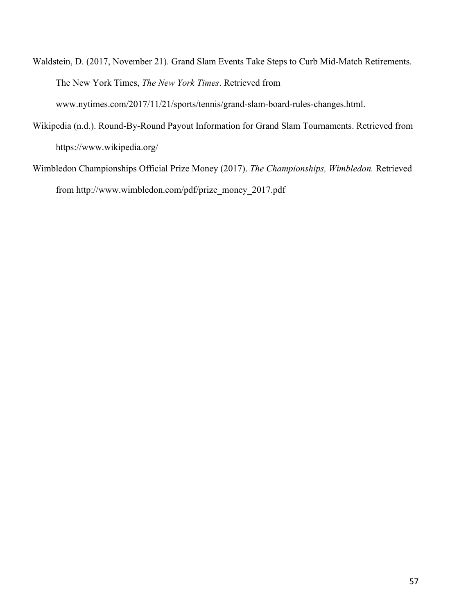Waldstein, D. (2017, November 21). Grand Slam Events Take Steps to Curb Mid-Match Retirements. The New York Times, *The New York Times*. Retrieved from www.nytimes.com/2017/11/21/sports/tennis/grand-slam-board-rules-changes.html.

- Wikipedia (n.d.). Round-By-Round Payout Information for Grand Slam Tournaments. Retrieved from https://www.wikipedia.org/
- Wimbledon Championships Official Prize Money (2017). *The Championships, Wimbledon.* Retrieved from http://www.wimbledon.com/pdf/prize\_money\_2017.pdf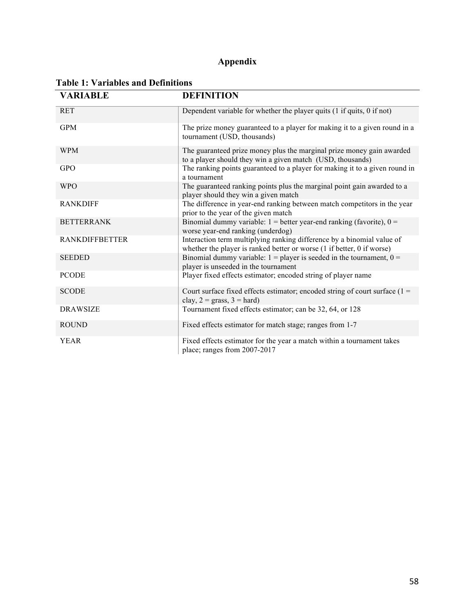## **Appendix**

| <b>VARIABLE</b>       | <b>DEFINITION</b>                                                                                                                                |  |  |  |  |
|-----------------------|--------------------------------------------------------------------------------------------------------------------------------------------------|--|--|--|--|
| <b>RET</b>            | Dependent variable for whether the player quits (1 if quits, 0 if not)                                                                           |  |  |  |  |
| <b>GPM</b>            | The prize money guaranteed to a player for making it to a given round in a<br>tournament (USD, thousands)                                        |  |  |  |  |
| <b>WPM</b>            | The guaranteed prize money plus the marginal prize money gain awarded<br>to a player should they win a given match (USD, thousands)              |  |  |  |  |
| <b>GPO</b>            | The ranking points guaranteed to a player for making it to a given round in<br>a tournament                                                      |  |  |  |  |
| <b>WPO</b>            | The guaranteed ranking points plus the marginal point gain awarded to a<br>player should they win a given match                                  |  |  |  |  |
| <b>RANKDIFF</b>       | The difference in year-end ranking between match competitors in the year<br>prior to the year of the given match                                 |  |  |  |  |
| <b>BETTERRANK</b>     | Binomial dummy variable: $1 =$ better year-end ranking (favorite), $0 =$<br>worse year-end ranking (underdog)                                    |  |  |  |  |
| <b>RANKDIFFBETTER</b> | Interaction term multiplying ranking difference by a binomial value of<br>whether the player is ranked better or worse (1 if better, 0 if worse) |  |  |  |  |
| <b>SEEDED</b>         | Binomial dummy variable: $1 =$ player is seeded in the tournament, $0 =$<br>player is unseeded in the tournament                                 |  |  |  |  |
| <b>PCODE</b>          | Player fixed effects estimator; encoded string of player name                                                                                    |  |  |  |  |
| <b>SCODE</b>          | Court surface fixed effects estimator; encoded string of court surface $(1 =$<br>clay, $2 = \text{grass}, 3 = \text{hard}$ )                     |  |  |  |  |
| <b>DRAWSIZE</b>       | Tournament fixed effects estimator; can be 32, 64, or 128                                                                                        |  |  |  |  |
| <b>ROUND</b>          | Fixed effects estimator for match stage; ranges from 1-7                                                                                         |  |  |  |  |
| <b>YEAR</b>           | Fixed effects estimator for the year a match within a tournament takes<br>place; ranges from 2007-2017                                           |  |  |  |  |

#### **Table 1: Variables and Definitions**

 $\overline{\phantom{0}}$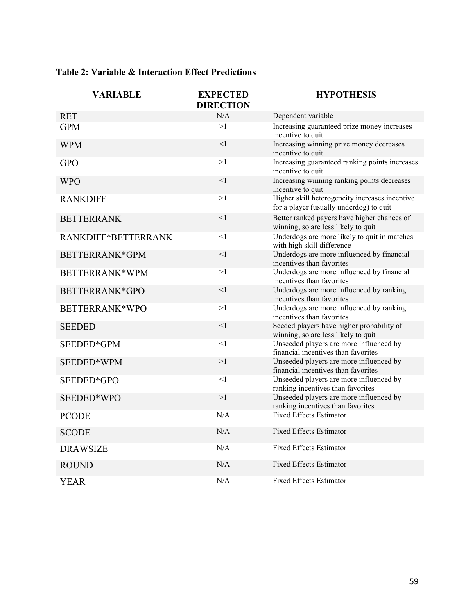| <b>VARIABLE</b>     | <b>EXPECTED</b><br><b>DIRECTION</b> | <b>HYPOTHESIS</b>                                                                         |
|---------------------|-------------------------------------|-------------------------------------------------------------------------------------------|
| <b>RET</b>          | N/A                                 | Dependent variable                                                                        |
| <b>GPM</b>          | >1                                  | Increasing guaranteed prize money increases<br>incentive to quit                          |
| <b>WPM</b>          | $<$ 1                               | Increasing winning prize money decreases<br>incentive to quit                             |
| <b>GPO</b>          | >1                                  | Increasing guaranteed ranking points increases<br>incentive to quit                       |
| <b>WPO</b>          | <1                                  | Increasing winning ranking points decreases<br>incentive to quit                          |
| <b>RANKDIFF</b>     | >1                                  | Higher skill heterogeneity increases incentive<br>for a player (usually underdog) to quit |
| <b>BETTERRANK</b>   | $\leq$ 1                            | Better ranked payers have higher chances of<br>winning, so are less likely to quit        |
| RANKDIFF*BETTERRANK | <1                                  | Underdogs are more likely to quit in matches<br>with high skill difference                |
| BETTERRANK*GPM      | <1                                  | Underdogs are more influenced by financial<br>incentives than favorites                   |
| BETTERRANK*WPM      | >1                                  | Underdogs are more influenced by financial<br>incentives than favorites                   |
| BETTERRANK*GPO      | $<$ 1                               | Underdogs are more influenced by ranking<br>incentives than favorites                     |
| BETTERRANK*WPO      | >1                                  | Underdogs are more influenced by ranking<br>incentives than favorites                     |
| <b>SEEDED</b>       | $\leq$ 1                            | Seeded players have higher probability of<br>winning, so are less likely to quit          |
| SEEDED*GPM          | <1                                  | Unseeded players are more influenced by<br>financial incentives than favorites            |
| SEEDED*WPM          | >1                                  | Unseeded players are more influenced by<br>financial incentives than favorites            |
| SEEDED*GPO          | $<$ 1                               | Unseeded players are more influenced by<br>ranking incentives than favorites              |
| SEEDED*WPO          | >1                                  | Unseeded players are more influenced by<br>ranking incentives than favorites              |
| <b>PCODE</b>        | N/A                                 | <b>Fixed Effects Estimator</b>                                                            |
| <b>SCODE</b>        | N/A                                 | <b>Fixed Effects Estimator</b>                                                            |
| <b>DRAWSIZE</b>     | N/A                                 | <b>Fixed Effects Estimator</b>                                                            |
| <b>ROUND</b>        | N/A                                 | <b>Fixed Effects Estimator</b>                                                            |
| YEAR                | N/A                                 | <b>Fixed Effects Estimator</b>                                                            |

### **Table 2: Variable & Interaction Effect Predictions**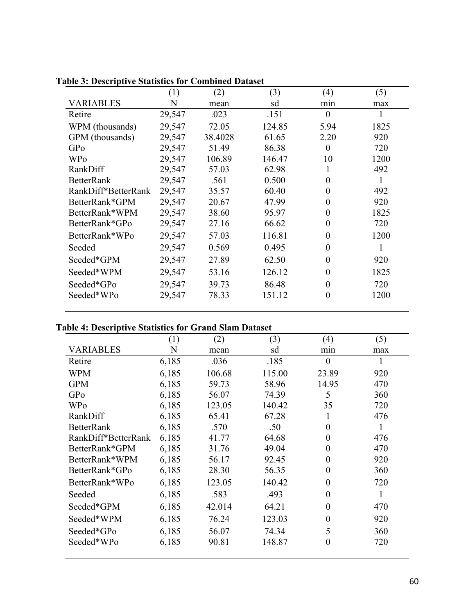|                     | (1)    | (2)     | (3)    | (4)      | (5)  |
|---------------------|--------|---------|--------|----------|------|
| <b>VARIABLES</b>    | N      | mean    | sd     | min      | max  |
| Retire              | 29,547 | .023    | .151   | $\theta$ | 1    |
| WPM (thousands)     | 29,547 | 72.05   | 124.85 | 5.94     | 1825 |
| GPM (thousands)     | 29,547 | 38.4028 | 61.65  | 2.20     | 920  |
| GPo                 | 29,547 | 51.49   | 86.38  | $\theta$ | 720  |
| <b>WPo</b>          | 29,547 | 106.89  | 146.47 | 10       | 1200 |
| RankDiff            | 29,547 | 57.03   | 62.98  |          | 492  |
| <b>BetterRank</b>   | 29,547 | .561    | 0.500  | 0        | 1    |
| RankDiff*BetterRank | 29,547 | 35.57   | 60.40  | $\Omega$ | 492  |
| BetterRank*GPM      | 29,547 | 20.67   | 47.99  | 0        | 920  |
| BetterRank*WPM      | 29,547 | 38.60   | 95.97  | 0        | 1825 |
| BetterRank*GPo      | 29,547 | 27.16   | 66.62  | $\Omega$ | 720  |
| BetterRank*WPo      | 29,547 | 57.03   | 116.81 | $\Omega$ | 1200 |
| Seeded              | 29,547 | 0.569   | 0.495  | $\theta$ | 1    |
| Seeded*GPM          | 29,547 | 27.89   | 62.50  | $\theta$ | 920  |
| Seeded*WPM          | 29,547 | 53.16   | 126.12 | $\theta$ | 1825 |
| Seeded*GPo          | 29,547 | 39.73   | 86.48  | $\theta$ | 720  |
| Seeded*WPo          | 29,547 | 78.33   | 151.12 | 0        | 1200 |
|                     |        |         |        |          |      |

**Table 3: Descriptive Statistics for Combined Dataset**

## **Table 4: Descriptive Statistics for Grand Slam Dataset**

|                     | (1)   | (2)    | (3)    | (4)      | (5) |
|---------------------|-------|--------|--------|----------|-----|
| VARIABLES           | N     | mean   | sd     | min      | max |
| Retire              | 6,185 | .036   | .185   | $\theta$ | 1   |
| <b>WPM</b>          | 6,185 | 106.68 | 115.00 | 23.89    | 920 |
| <b>GPM</b>          | 6,185 | 59.73  | 58.96  | 14.95    | 470 |
| GPo                 | 6,185 | 56.07  | 74.39  | 5        | 360 |
| <b>WPo</b>          | 6,185 | 123.05 | 140.42 | 35       | 720 |
| RankDiff            | 6,185 | 65.41  | 67.28  |          | 476 |
| <b>BetterRank</b>   | 6,185 | .570   | .50    | $\Omega$ | 1   |
| RankDiff*BetterRank | 6,185 | 41.77  | 64.68  | $\Omega$ | 476 |
| BetterRank*GPM      | 6,185 | 31.76  | 49.04  | $\Omega$ | 470 |
| BetterRank*WPM      | 6,185 | 56.17  | 92.45  | $\Omega$ | 920 |
| BetterRank*GPo      | 6,185 | 28.30  | 56.35  | $\Omega$ | 360 |
| BetterRank*WPo      | 6,185 | 123.05 | 140.42 | $\Omega$ | 720 |
| Seeded              | 6,185 | .583   | .493   | $\Omega$ | 1   |
| Seeded*GPM          | 6,185 | 42.014 | 64.21  | $\Omega$ | 470 |
| Seeded*WPM          | 6,185 | 76.24  | 123.03 | $\Omega$ | 920 |
| Seeded*GPo          | 6,185 | 56.07  | 74.34  | 5        | 360 |
| Seeded*WPo          | 6,185 | 90.81  | 148.87 | $\theta$ | 720 |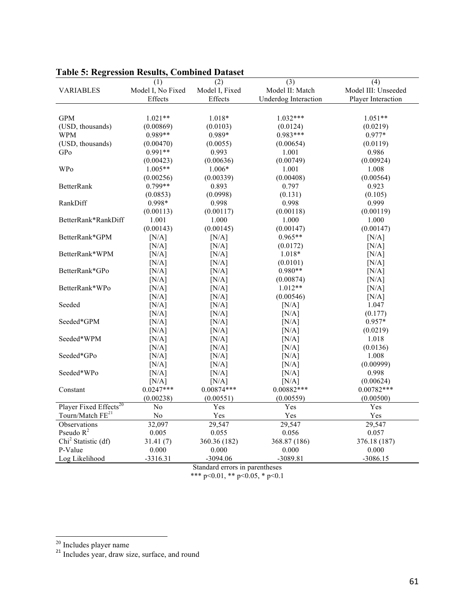| LAVIV JI IWEL                      | сээгли тезинэ, сошошса | Datasci        |                             |                     |
|------------------------------------|------------------------|----------------|-----------------------------|---------------------|
|                                    | (1)                    | (2)            | (3)                         | (4)                 |
| <b>VARIABLES</b>                   | Model I, No Fixed      | Model I, Fixed | Model II: Match             | Model III: Unseeded |
|                                    | Effects                | Effects        | <b>Underdog Interaction</b> | Player Interaction  |
|                                    |                        |                |                             |                     |
| <b>GPM</b>                         | $1.021**$              | 1.018*         | $1.032***$                  | $1.051**$           |
| (USD, thousands)                   | (0.00869)              | (0.0103)       | (0.0124)                    | (0.0219)            |
| WPM                                | $0.989**$              | 0.989*         | $0.983***$                  | 0.977*              |
| (USD, thousands)                   | (0.00470)              | (0.0055)       | (0.00654)                   | (0.0119)            |
| GPo                                | $0.991**$              | 0.993          | 1.001                       | 0.986               |
|                                    | (0.00423)              | (0.00636)      | (0.00749)                   | (0.00924)           |
| <b>WPo</b>                         | $1.005**$              | 1.006*         | 1.001                       | 1.008               |
|                                    | (0.00256)              | (0.00339)      | (0.00408)                   | (0.00564)           |
| <b>BetterRank</b>                  | $0.799**$              | 0.893          | 0.797                       | 0.923               |
|                                    | (0.0853)               | (0.0998)       | (0.131)                     | (0.105)             |
| RankDiff                           | 0.998*                 | 0.998          | 0.998                       | 0.999               |
|                                    | (0.00113)              | (0.00117)      | (0.00118)                   | (0.00119)           |
| BetterRank*RankDiff                | 1.001                  | 1.000          | 1.000                       | 1.000               |
|                                    | (0.00143)              | (0.00145)      | (0.00147)                   | (0.00147)           |
| BetterRank*GPM                     | [N/A]                  | [N/A]          | $0.965**$                   | [N/A]               |
|                                    | [N/A]                  | [N/A]          | (0.0172)                    | [N/A]               |
| BetterRank*WPM                     | [N/A]                  | [N/A]          | $1.018*$                    | [N/A]               |
|                                    | [N/A]                  | [N/A]          | (0.0101)                    | [N/A]               |
| BetterRank*GPo                     | [N/A]                  | [N/A]          | $0.980**$                   | [N/A]               |
|                                    | [N/A]                  | [N/A]          | (0.00874)                   | [N/A]               |
| BetterRank*WPo                     | [N/A]                  | [N/A]          | $1.012**$                   | [N/A]               |
|                                    | [N/A]                  | [N/A]          | (0.00546)                   | [N/A]               |
| Seeded                             | [N/A]                  | [N/A]          | [N/A]                       | 1.047               |
|                                    | [N/A]                  | [N/A]          | [N/A]                       | (0.177)             |
| Seeded*GPM                         | [N/A]                  | [N/A]          | [N/A]                       | $0.957*$            |
|                                    | [N/A]                  | [N/A]          | [N/A]                       | (0.0219)            |
| Seeded*WPM                         | [N/A]                  | [N/A]          | [N/A]                       | 1.018               |
|                                    | [N/A]                  | [N/A]          | [N/A]                       | (0.0136)            |
| Seeded*GPo                         | [N/A]                  | [N/A]          | [N/A]                       | 1.008               |
|                                    | [N/A]                  | [N/A]          | [N/A]                       | (0.00999)           |
| Seeded*WPo                         | [N/A]                  | [N/A]          | [N/A]                       | 0.998               |
|                                    | [N/A]                  | [N/A]          | [N/A]                       | (0.00624)           |
| Constant                           | $0.0247***$            | $0.00874***$   | $0.00882***$                | $0.00782***$        |
|                                    | (0.00238)              | (0.00551)      | (0.00559)                   | (0.00500)           |
| Player Fixed Effects <sup>20</sup> | No                     | Yes            | Yes                         | Yes                 |
| Tourn/Match FE <sup>21</sup>       | N <sub>0</sub>         | Yes            | Yes                         | Yes                 |
| Observations                       | 32,097                 | 29,547         | 29,547                      | 29,547              |
| Pseudo $R^2$                       | 0.005                  | 0.055          | 0.056                       | 0.057               |
| Chi <sup>2</sup> Statistic (df)    | 31.41(7)               | 360.36 (182)   | 368.87 (186)                | 376.18 (187)        |
| P-Value                            | 0.000                  | 0.000          | 0.000                       | 0.000               |
| Log Likelihood                     | $-3316.31$             | $-3094.06$     | -3089.81                    | $-3086.15$          |

#### **Table 5: Regression Results, Combined Dataset**

Standard errors in parentheses

 $\frac{20}{21}$  Includes player name<br><sup>21</sup> Includes year, draw size, surface, and round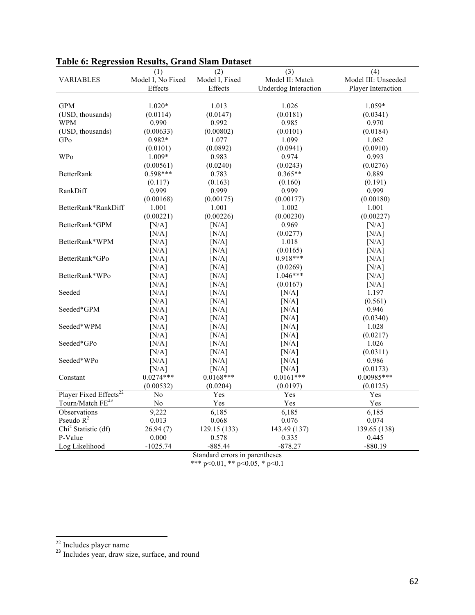|                                    | (1)               | (2)            | (3)                         | (4)                 |
|------------------------------------|-------------------|----------------|-----------------------------|---------------------|
| <b>VARIABLES</b>                   | Model I, No Fixed | Model I, Fixed | Model II: Match             | Model III: Unseeded |
|                                    | Effects           | Effects        | <b>Underdog Interaction</b> | Player Interaction  |
|                                    |                   |                |                             |                     |
| <b>GPM</b>                         | $1.020*$          | 1.013          | 1.026                       | $1.059*$            |
| (USD, thousands)                   | (0.0114)          | (0.0147)       | (0.0181)                    | (0.0341)            |
| <b>WPM</b>                         | 0.990             | 0.992          | 0.985                       | 0.970               |
| (USD, thousands)                   | (0.00633)         | (0.00802)      | (0.0101)                    | (0.0184)            |
| GPo                                | 0.982*            | 1.077          | 1.099                       | 1.062               |
|                                    | (0.0101)          | (0.0892)       | (0.0941)                    | (0.0910)            |
| WPo                                | 1.009*            | 0.983          | 0.974                       | 0.993               |
|                                    | (0.00561)         | (0.0240)       | (0.0243)                    | (0.0276)            |
| <b>BetterRank</b>                  | $0.598***$        | 0.783          | $0.365**$                   | 0.889               |
|                                    | (0.117)           | (0.163)        | (0.160)                     | (0.191)             |
| RankDiff                           | 0.999             | 0.999          | 0.999                       | 0.999               |
|                                    | (0.00168)         | (0.00175)      | (0.00177)                   | (0.00180)           |
| BetterRank*RankDiff                | 1.001             | 1.001          | 1.002                       | 1.001               |
|                                    | (0.00221)         | (0.00226)      | (0.00230)                   | (0.00227)           |
| BetterRank*GPM                     | [N/A]             | [N/A]          | 0.969                       | [N/A]               |
|                                    | [N/A]             | [N/A]          | (0.0277)                    | [N/A]               |
| BetterRank*WPM                     | [N/A]             | [N/A]          | 1.018                       | [N/A]               |
|                                    | [N/A]             | [N/A]          | (0.0165)                    | [N/A]               |
| BetterRank*GPo                     | [N/A]             | [N/A]          | $0.918***$                  | [N/A]               |
|                                    | [N/A]             | [N/A]          | (0.0269)                    | [N/A]               |
| BetterRank*WPo                     | [N/A]             | [N/A]          | $1.046***$                  | [N/A]               |
|                                    | [N/A]             | [N/A]          | (0.0167)                    | [N/A]               |
| Seeded                             | [N/A]             | [N/A]          | [N/A]                       | 1.197               |
|                                    | [N/A]             | [N/A]          | [N/A]                       | (0.561)             |
| Seeded*GPM                         | [N/A]             | [N/A]          | [N/A]                       | 0.946               |
|                                    | [N/A]             | [N/A]          | [N/A]                       | (0.0340)            |
| Seeded*WPM                         | [N/A]             | [N/A]          | [N/A]                       | 1.028               |
|                                    | [N/A]             | [N/A]          | [N/A]                       | (0.0217)            |
| Seeded*GPo                         | [N/A]             | [N/A]          | [N/A]                       | 1.026               |
|                                    | [N/A]             | [N/A]          | [N/A]                       | (0.0311)            |
| Seeded*WPo                         | [N/A]             | [N/A]          | [N/A]                       | 0.986               |
|                                    | [N/A]             | [N/A]          | [N/A]                       | (0.0173)            |
| Constant                           | $0.0274***$       | $0.0168***$    | $0.0161***$                 | $0.00985***$        |
|                                    | (0.00532)         | (0.0204)       | (0.0197)                    | (0.0125)            |
| Player Fixed Effects <sup>22</sup> | N <sub>o</sub>    | Yes            | Yes                         | Yes                 |
| Tourn/Match FE <sup>23</sup>       | No                | Yes            | Yes                         | Yes                 |
| Observations                       | 9,222             | 6,185          | 6,185                       | 6,185               |
| Pseudo $R^2$                       | 0.013             | 0.068          | 0.076                       | 0.074               |
| Chi <sup>2</sup> Statistic (df)    | 26.94(7)          | 129.15 (133)   | 143.49 (137)                | 139.65 (138)        |
| P-Value                            | 0.000             | 0.578          | 0.335                       | 0.445               |
| Log Likelihood                     | $-1025.74$        | $-885.44$      | $-878.27$                   | $-880.19$           |

### **Table 6: Regression Results, Grand Slam Dataset**

Standard errors in parentheses

 $\frac{22}{23}$  Includes player name<br><sup>23</sup> Includes year, draw size, surface, and round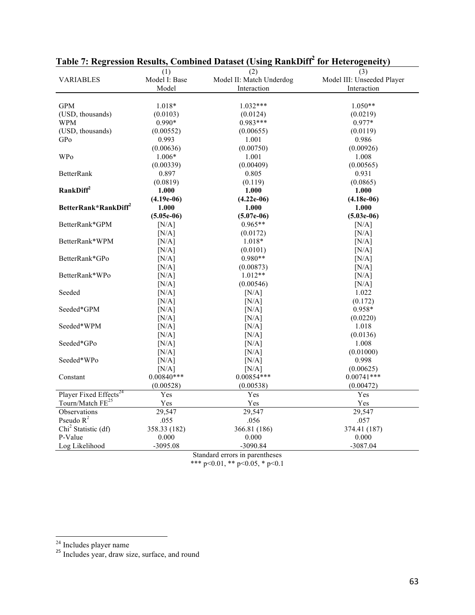|                                    | (1)           | (2)                      | (3)                        |  |
|------------------------------------|---------------|--------------------------|----------------------------|--|
| <b>VARIABLES</b>                   | Model I: Base | Model II: Match Underdog | Model III: Unseeded Player |  |
|                                    | Model         | Interaction              | Interaction                |  |
|                                    |               |                          |                            |  |
| <b>GPM</b>                         | $1.018*$      | $1.032***$               | $1.050**$                  |  |
| (USD, thousands)                   | (0.0103)      | (0.0124)                 | (0.0219)                   |  |
| <b>WPM</b>                         | 0.990*        | $0.983***$               | 0.977*                     |  |
| (USD, thousands)                   | (0.00552)     | (0.00655)                | (0.0119)                   |  |
| GPo                                | 0.993         | 1.001                    | 0.986                      |  |
|                                    | (0.00636)     | (0.00750)                | (0.00926)                  |  |
| <b>WPo</b>                         | 1.006*        | 1.001                    | 1.008                      |  |
|                                    | (0.00339)     | (0.00409)                | (0.00565)                  |  |
| <b>BetterRank</b>                  | 0.897         | 0.805                    | 0.931                      |  |
|                                    | (0.0819)      | (0.119)                  | (0.0865)                   |  |
| RankDiff <sup>2</sup>              | 1.000         | 1.000                    | 1.000                      |  |
|                                    | $(4.19e-06)$  | $(4.22e-06)$             | $(4.18e-06)$               |  |
| BetterRank*RankDiff <sup>2</sup>   | 1.000         | 1.000                    | 1.000                      |  |
|                                    | $(5.05e-06)$  | $(5.07e-06)$             | $(5.03e-06)$               |  |
| BetterRank*GPM                     | [N/A]         | $0.965**$                | [N/A]                      |  |
|                                    | [N/A]         | (0.0172)                 | [N/A]                      |  |
| BetterRank*WPM                     | [N/A]         | $1.018*$                 | [N/A]                      |  |
|                                    | [N/A]         | (0.0101)                 | [N/A]                      |  |
| BetterRank*GPo                     | [N/A]         | $0.980**$                | [N/A]                      |  |
|                                    | [N/A]         | (0.00873)                | [N/A]                      |  |
| BetterRank*WPo                     | [N/A]         | $1.012**$                | [N/A]                      |  |
|                                    | [N/A]         | (0.00546)                | [N/A]                      |  |
| Seeded                             | [N/A]         | [N/A]                    | 1.022                      |  |
|                                    | [N/A]         | [N/A]                    | (0.172)                    |  |
| Seeded*GPM                         | [N/A]         | [N/A]                    | 0.958*                     |  |
|                                    | [N/A]         | [N/A]                    | (0.0220)                   |  |
| Seeded*WPM                         | [N/A]         | [N/A]                    | 1.018                      |  |
|                                    | [N/A]         | [N/A]                    | (0.0136)                   |  |
| Seeded*GPo                         | [N/A]         | [N/A]                    | 1.008                      |  |
|                                    | [N/A]         | [N/A]                    | (0.01000)                  |  |
| Seeded*WPo                         | [N/A]         | [N/A]                    | 0.998                      |  |
|                                    | [N/A]         | [N/A]                    | (0.00625)                  |  |
| Constant                           | $0.00840***$  | $0.00854***$             | $0.00741***$               |  |
|                                    | (0.00528)     | (0.00538)                | (0.00472)                  |  |
| Player Fixed Effects <sup>24</sup> | Yes           | Yes                      | Yes                        |  |
| Tourn/Match FE <sup>25</sup>       | Yes           | Yes                      | Yes                        |  |
| Observations                       | 29,547        | 29,547                   | 29,547                     |  |
| Pseudo $R^2$                       | .055          | .056                     | .057                       |  |
| Chi <sup>2</sup> Statistic (df)    | 358.33 (182)  | 366.81 (186)             | 374.41 (187)               |  |
| P-Value                            | 0.000         | 0.000                    | 0.000                      |  |
| Log Likelihood                     | $-3095.08$    | -3090.84                 | -3087.04                   |  |
|                                    |               |                          |                            |  |

# Table 7: Regression Results, Combined Dataset (Using RankDiff<sup>2</sup> for Heterogeneity)

Standard errors in parentheses

 $\frac{24}{25}$  Includes player name<br><sup>25</sup> Includes year, draw size, surface, and round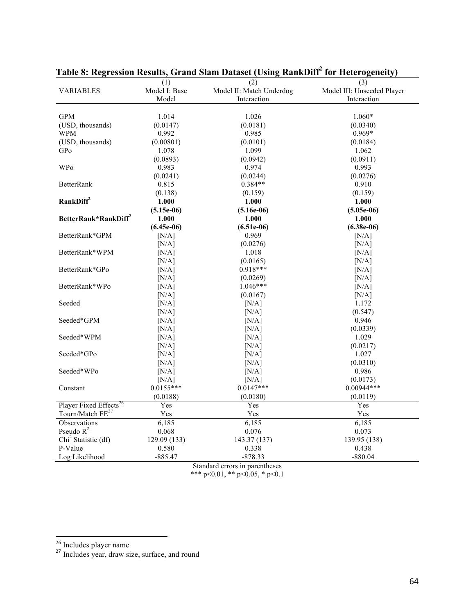|                                    | (1)           | (2)                      | (3)                        |  |
|------------------------------------|---------------|--------------------------|----------------------------|--|
| <b>VARIABLES</b>                   | Model I: Base | Model II: Match Underdog | Model III: Unseeded Player |  |
|                                    | Model         | Interaction              | Interaction                |  |
|                                    |               |                          |                            |  |
| <b>GPM</b>                         | 1.014         | 1.026                    | $1.060*$                   |  |
| (USD, thousands)                   | (0.0147)      | (0.0181)                 | (0.0340)                   |  |
| <b>WPM</b>                         | 0.992         | 0.985                    | $0.969*$                   |  |
| (USD, thousands)                   | (0.00801)     | (0.0101)                 | (0.0184)                   |  |
| GPo                                | 1.078         | 1.099                    | 1.062                      |  |
|                                    | (0.0893)      | (0.0942)                 | (0.0911)                   |  |
| <b>WPo</b>                         | 0.983         | 0.974                    | 0.993                      |  |
|                                    | (0.0241)      | (0.0244)                 | (0.0276)                   |  |
| <b>BetterRank</b>                  | 0.815         | $0.384**$                | 0.910                      |  |
|                                    | (0.138)       | (0.159)                  | (0.159)                    |  |
| RankDiff <sup>2</sup>              | 1.000         | 1.000                    | 1.000                      |  |
|                                    | $(5.15e-06)$  | $(5.16e-06)$             | $(5.05e-06)$               |  |
| BetterRank*RankDiff <sup>2</sup>   | 1.000         | 1.000                    | 1.000                      |  |
|                                    | $(6.45e-06)$  | $(6.51e-06)$             | $(6.38e-06)$               |  |
| BetterRank*GPM                     | [N/A]         | 0.969                    | [N/A]                      |  |
|                                    | [N/A]         | (0.0276)                 | [N/A]                      |  |
| BetterRank*WPM                     | [N/A]         | 1.018                    | [N/A]                      |  |
|                                    | [N/A]         | (0.0165)                 | [N/A]                      |  |
| BetterRank*GPo                     | [N/A]         | 0.918***                 | [N/A]                      |  |
|                                    | [N/A]         | (0.0269)                 | [N/A]                      |  |
| BetterRank*WPo                     | [N/A]         | $1.046***$               | [N/A]                      |  |
|                                    | [N/A]         | (0.0167)                 | [N/A]                      |  |
| Seeded                             | [N/A]         | [N/A]                    | 1.172                      |  |
|                                    | [N/A]         | [N/A]                    | (0.547)                    |  |
| Seeded*GPM                         | [N/A]         | [N/A]                    | 0.946                      |  |
|                                    | [N/A]         | [N/A]                    | (0.0339)                   |  |
| Seeded*WPM                         | [N/A]         | [N/A]                    | 1.029                      |  |
|                                    | [N/A]         | [N/A]                    | (0.0217)                   |  |
| Seeded*GPo                         | [N/A]         | [N/A]                    | 1.027                      |  |
|                                    | [N/A]         | [N/A]                    | (0.0310)                   |  |
| Seeded*WPo                         | [N/A]         | [N/A]                    | 0.986                      |  |
|                                    | [N/A]         | [N/A]                    | (0.0173)                   |  |
| Constant                           | $0.0155***$   | $0.0147***$              | $0.00944***$               |  |
|                                    | (0.0188)      | (0.0180)                 | (0.0119)                   |  |
| Player Fixed Effects <sup>26</sup> | Yes           | Yes                      | Yes                        |  |
| Tourn/Match FE <sup>27</sup>       | Yes           | Yes                      | Yes                        |  |
| Observations                       | 6,185         | 6,185                    | 6,185                      |  |
| Pseudo $R^2$                       | 0.068         | 0.076                    | 0.073                      |  |
| Chi <sup>2</sup> Statistic (df)    | 129.09 (133)  | 143.37 (137)             | 139.95 (138)               |  |
| P-Value                            | 0.580         | 0.338                    | 0.438                      |  |
| Log Likelihood                     | $-885.47$     | -878.33                  | $-880.04$                  |  |
|                                    | $\sim$        |                          |                            |  |

Table 8: Regression Results, Grand Slam Dataset (Using RankDiff<sup>2</sup> for Heterogeneity)

Standard errors in parentheses

 $rac{26}{27}$  Includes player name<br><sup>27</sup> Includes year, draw size, surface, and round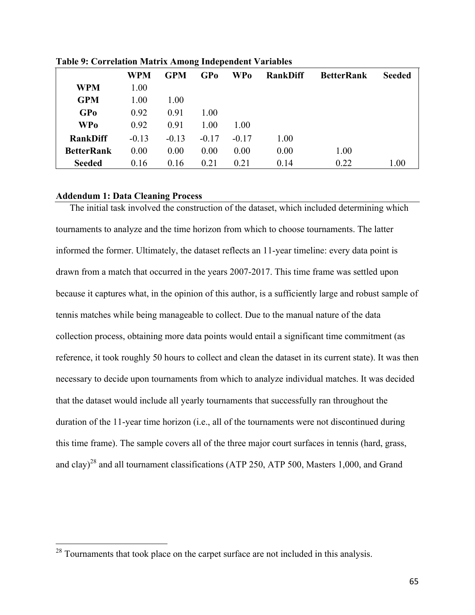|                   | <b>WPM</b> | <b>GPM</b> | GPo     | <b>WPo</b> | <b>RankDiff</b> | <b>BetterRank</b> | <b>Seeded</b> |
|-------------------|------------|------------|---------|------------|-----------------|-------------------|---------------|
| <b>WPM</b>        | 1.00       |            |         |            |                 |                   |               |
| <b>GPM</b>        | 1.00       | 1.00       |         |            |                 |                   |               |
| <b>GPo</b>        | 0.92       | 0.91       | 1.00    |            |                 |                   |               |
| <b>WPo</b>        | 0.92       | 0.91       | 1.00    | 1.00       |                 |                   |               |
| <b>RankDiff</b>   | $-0.13$    | $-0.13$    | $-0.17$ | $-0.17$    | 1.00            |                   |               |
| <b>BetterRank</b> | 0.00       | 0.00       | 0.00    | 0.00       | 0.00            | 1.00              |               |
| <b>Seeded</b>     | 0.16       | 0.16       | 0.21    | 0.21       | 0.14            | 0.22              | 1.00          |

**Table 9: Correlation Matrix Among Independent Variables**

#### **Addendum 1: Data Cleaning Process**

The initial task involved the construction of the dataset, which included determining which tournaments to analyze and the time horizon from which to choose tournaments. The latter informed the former. Ultimately, the dataset reflects an 11-year timeline: every data point is drawn from a match that occurred in the years 2007-2017. This time frame was settled upon because it captures what, in the opinion of this author, is a sufficiently large and robust sample of tennis matches while being manageable to collect. Due to the manual nature of the data collection process, obtaining more data points would entail a significant time commitment (as reference, it took roughly 50 hours to collect and clean the dataset in its current state). It was then necessary to decide upon tournaments from which to analyze individual matches. It was decided that the dataset would include all yearly tournaments that successfully ran throughout the duration of the 11-year time horizon (i.e., all of the tournaments were not discontinued during this time frame). The sample covers all of the three major court surfaces in tennis (hard, grass, and clay)<sup>28</sup> and all tournament classifications (ATP 250, ATP 500, Masters 1,000, and Grand

<sup>&</sup>lt;sup>28</sup> Tournaments that took place on the carpet surface are not included in this analysis.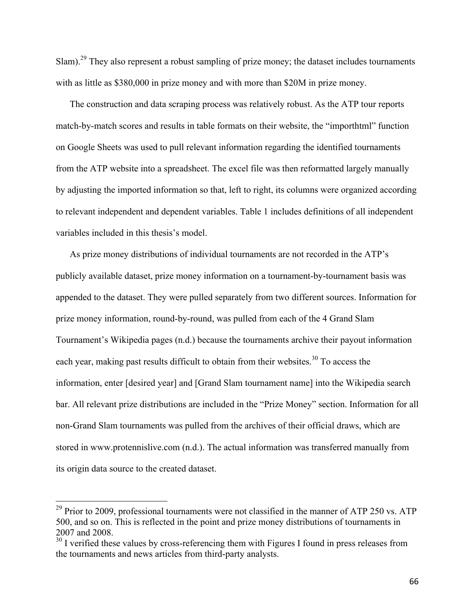Slam).<sup>29</sup> They also represent a robust sampling of prize money; the dataset includes tournaments with as little as \$380,000 in prize money and with more than \$20M in prize money.

The construction and data scraping process was relatively robust. As the ATP tour reports match-by-match scores and results in table formats on their website, the "importhtml" function on Google Sheets was used to pull relevant information regarding the identified tournaments from the ATP website into a spreadsheet. The excel file was then reformatted largely manually by adjusting the imported information so that, left to right, its columns were organized according to relevant independent and dependent variables. Table 1 includes definitions of all independent variables included in this thesis's model.

As prize money distributions of individual tournaments are not recorded in the ATP's publicly available dataset, prize money information on a tournament-by-tournament basis was appended to the dataset. They were pulled separately from two different sources. Information for prize money information, round-by-round, was pulled from each of the 4 Grand Slam Tournament's Wikipedia pages (n.d.) because the tournaments archive their payout information each year, making past results difficult to obtain from their websites.<sup>30</sup> To access the information, enter [desired year] and [Grand Slam tournament name] into the Wikipedia search bar. All relevant prize distributions are included in the "Prize Money" section. Information for all non-Grand Slam tournaments was pulled from the archives of their official draws, which are stored in www.protennislive.com (n.d.). The actual information was transferred manually from its origin data source to the created dataset.

 $^{29}$  Prior to 2009, professional tournaments were not classified in the manner of ATP 250 vs. ATP 500, and so on. This is reflected in the point and prize money distributions of tournaments in 2007 and 2008.

 $30$  I verified these values by cross-referencing them with Figures I found in press releases from the tournaments and news articles from third-party analysts.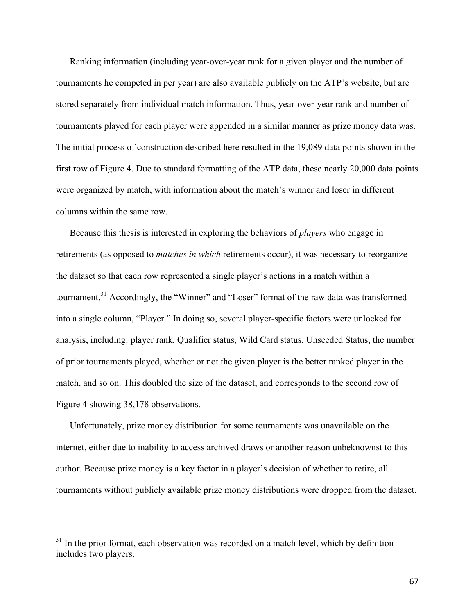Ranking information (including year-over-year rank for a given player and the number of tournaments he competed in per year) are also available publicly on the ATP's website, but are stored separately from individual match information. Thus, year-over-year rank and number of tournaments played for each player were appended in a similar manner as prize money data was. The initial process of construction described here resulted in the 19,089 data points shown in the first row of Figure 4. Due to standard formatting of the ATP data, these nearly 20,000 data points were organized by match, with information about the match's winner and loser in different columns within the same row.

Because this thesis is interested in exploring the behaviors of *players* who engage in retirements (as opposed to *matches in which* retirements occur), it was necessary to reorganize the dataset so that each row represented a single player's actions in a match within a tournament.31 Accordingly, the "Winner" and "Loser" format of the raw data was transformed into a single column, "Player." In doing so, several player-specific factors were unlocked for analysis, including: player rank, Qualifier status, Wild Card status, Unseeded Status, the number of prior tournaments played, whether or not the given player is the better ranked player in the match, and so on. This doubled the size of the dataset, and corresponds to the second row of Figure 4 showing 38,178 observations.

Unfortunately, prize money distribution for some tournaments was unavailable on the internet, either due to inability to access archived draws or another reason unbeknownst to this author. Because prize money is a key factor in a player's decision of whether to retire, all tournaments without publicly available prize money distributions were dropped from the dataset.

 $31$  In the prior format, each observation was recorded on a match level, which by definition includes two players.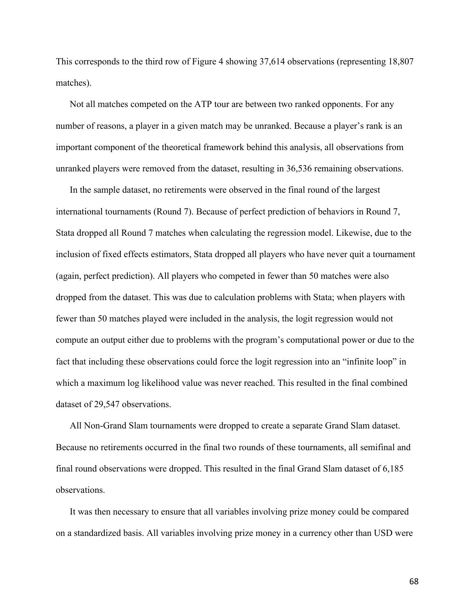This corresponds to the third row of Figure 4 showing 37,614 observations (representing 18,807 matches).

Not all matches competed on the ATP tour are between two ranked opponents. For any number of reasons, a player in a given match may be unranked. Because a player's rank is an important component of the theoretical framework behind this analysis, all observations from unranked players were removed from the dataset, resulting in 36,536 remaining observations.

In the sample dataset, no retirements were observed in the final round of the largest international tournaments (Round 7). Because of perfect prediction of behaviors in Round 7, Stata dropped all Round 7 matches when calculating the regression model. Likewise, due to the inclusion of fixed effects estimators, Stata dropped all players who have never quit a tournament (again, perfect prediction). All players who competed in fewer than 50 matches were also dropped from the dataset. This was due to calculation problems with Stata; when players with fewer than 50 matches played were included in the analysis, the logit regression would not compute an output either due to problems with the program's computational power or due to the fact that including these observations could force the logit regression into an "infinite loop" in which a maximum log likelihood value was never reached. This resulted in the final combined dataset of 29,547 observations.

All Non-Grand Slam tournaments were dropped to create a separate Grand Slam dataset. Because no retirements occurred in the final two rounds of these tournaments, all semifinal and final round observations were dropped. This resulted in the final Grand Slam dataset of 6,185 observations.

It was then necessary to ensure that all variables involving prize money could be compared on a standardized basis. All variables involving prize money in a currency other than USD were

68